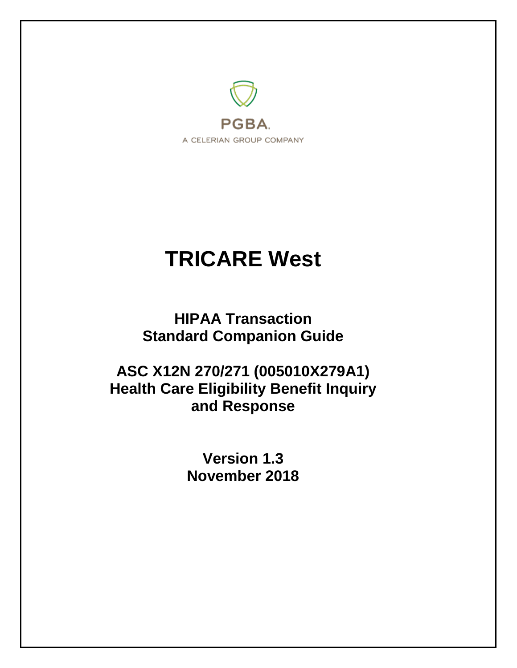

# **TRICARE West**

**HIPAA Transaction Standard Companion Guide**

**ASC X12N 270/271 (005010X279A1) Health Care Eligibility Benefit Inquiry and Response**

> **Version 1.3 November 2018**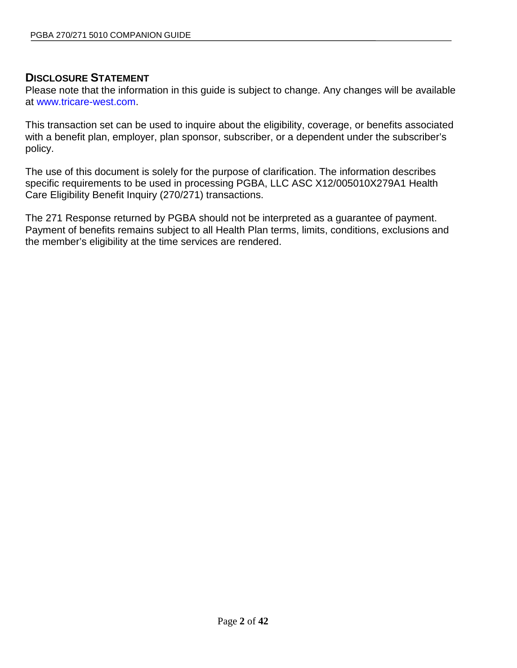# **DISCLOSURE STATEMENT**

Please note that the information in this guide is subject to change. Any changes will be available at [www.tricare-west.com.](http://www.tricare-west.com/)

This transaction set can be used to inquire about the eligibility, coverage, or benefits associated with a benefit plan, employer, plan sponsor, subscriber, or a dependent under the subscriber's policy.

The use of this document is solely for the purpose of clarification. The information describes specific requirements to be used in processing PGBA, LLC ASC X12/005010X279A1 Health Care Eligibility Benefit Inquiry (270/271) transactions.

The 271 Response returned by PGBA should not be interpreted as a guarantee of payment. Payment of benefits remains subject to all Health Plan terms, limits, conditions, exclusions and the member's eligibility at the time services are rendered.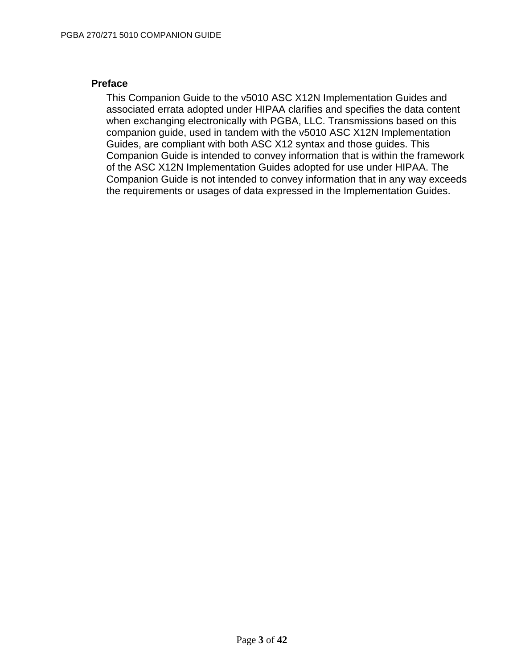### **Preface**

This Companion Guide to the v5010 ASC X12N Implementation Guides and associated errata adopted under HIPAA clarifies and specifies the data content when exchanging electronically with PGBA, LLC. Transmissions based on this companion guide, used in tandem with the v5010 ASC X12N Implementation Guides, are compliant with both ASC X12 syntax and those guides. This Companion Guide is intended to convey information that is within the framework of the ASC X12N Implementation Guides adopted for use under HIPAA. The Companion Guide is not intended to convey information that in any way exceeds the requirements or usages of data expressed in the Implementation Guides.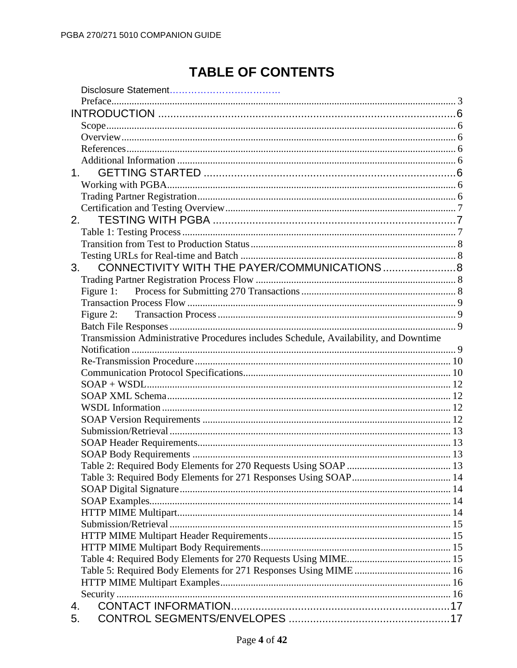# **TABLE OF CONTENTS**

| 1 <sup>1</sup>                                                                       |  |
|--------------------------------------------------------------------------------------|--|
|                                                                                      |  |
|                                                                                      |  |
|                                                                                      |  |
| 2.                                                                                   |  |
|                                                                                      |  |
|                                                                                      |  |
|                                                                                      |  |
| 3.                                                                                   |  |
|                                                                                      |  |
|                                                                                      |  |
|                                                                                      |  |
|                                                                                      |  |
|                                                                                      |  |
| Transmission Administrative Procedures includes Schedule, Availability, and Downtime |  |
|                                                                                      |  |
|                                                                                      |  |
|                                                                                      |  |
|                                                                                      |  |
|                                                                                      |  |
|                                                                                      |  |
|                                                                                      |  |
|                                                                                      |  |
|                                                                                      |  |
|                                                                                      |  |
|                                                                                      |  |
|                                                                                      |  |
|                                                                                      |  |
|                                                                                      |  |
|                                                                                      |  |
|                                                                                      |  |
|                                                                                      |  |
|                                                                                      |  |
|                                                                                      |  |
|                                                                                      |  |
|                                                                                      |  |
|                                                                                      |  |
| 4.                                                                                   |  |
| 5.                                                                                   |  |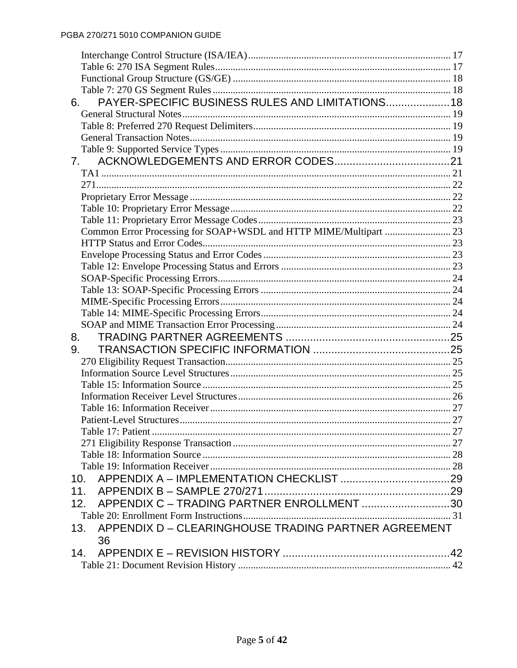| PAYER-SPECIFIC BUSINESS RULES AND LIMITATIONS 18<br>6.            |  |
|-------------------------------------------------------------------|--|
|                                                                   |  |
|                                                                   |  |
|                                                                   |  |
|                                                                   |  |
|                                                                   |  |
|                                                                   |  |
|                                                                   |  |
|                                                                   |  |
|                                                                   |  |
|                                                                   |  |
| Common Error Processing for SOAP+WSDL and HTTP MIME/Multipart  23 |  |
|                                                                   |  |
|                                                                   |  |
|                                                                   |  |
|                                                                   |  |
|                                                                   |  |
|                                                                   |  |
|                                                                   |  |
|                                                                   |  |
| 8.                                                                |  |
| 9.                                                                |  |
|                                                                   |  |
|                                                                   |  |
|                                                                   |  |
|                                                                   |  |
|                                                                   |  |
|                                                                   |  |
|                                                                   |  |
|                                                                   |  |
|                                                                   |  |
|                                                                   |  |
| 10.                                                               |  |
| 11.                                                               |  |
| APPENDIX C - TRADING PARTNER ENROLLMENT 30<br>12.                 |  |
|                                                                   |  |
| APPENDIX D - CLEARINGHOUSE TRADING PARTNER AGREEMENT<br>13.       |  |
| 36                                                                |  |
| 14.                                                               |  |
|                                                                   |  |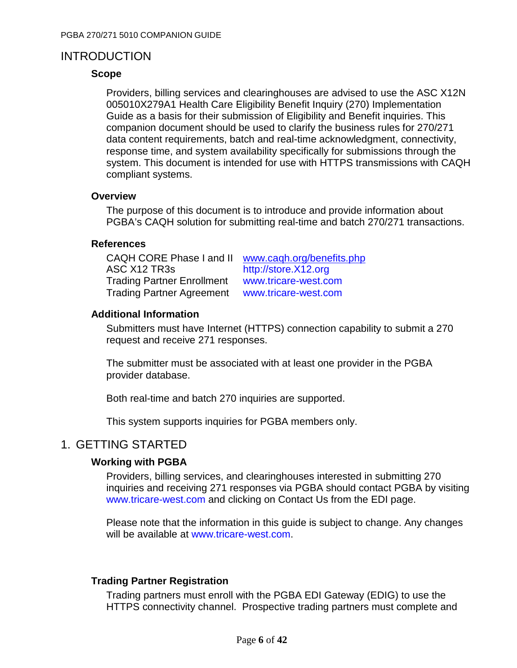# **INTRODUCTION**

### **Scope**

Providers, billing services and clearinghouses are advised to use the ASC X12N 005010X279A1 Health Care Eligibility Benefit Inquiry (270) Implementation Guide as a basis for their submission of Eligibility and Benefit inquiries. This companion document should be used to clarify the business rules for 270/271 data content requirements, batch and real-time acknowledgment, connectivity, response time, and system availability specifically for submissions through the system. This document is intended for use with HTTPS transmissions with CAQH compliant systems.

### **Overview**

The purpose of this document is to introduce and provide information about PGBA's CAQH solution for submitting real-time and batch 270/271 transactions.

### **References**

| CAQH CORE Phase I and II          | www.cagh.org/benefits.php |
|-----------------------------------|---------------------------|
| ASC X12 TR3s                      | http://store.X12.org      |
| <b>Trading Partner Enrollment</b> | www.tricare-west.com      |
| <b>Trading Partner Agreement</b>  | www.tricare-west.com      |

### **Additional Information**

Submitters must have Internet (HTTPS) connection capability to submit a 270 request and receive 271 responses.

The submitter must be associated with at least one provider in the PGBA provider database.

Both real-time and batch 270 inquiries are supported.

This system supports inquiries for PGBA members only.

# 1. GETTING STARTED

# **Working with PGBA**

Providers, billing services, and clearinghouses interested in submitting 270 inquiries and receiving 271 responses via PGBA should contact PGBA by visiting [www.tricare-west.com](http://www.tricare-west.com/) and clicking on Contact Us from the EDI page.

Please note that the information in this guide is subject to change. Any changes will be available at [www.tricare-west.com.](http://www.tricare-west.com/)

# **Trading Partner Registration**

Trading partners must enroll with the PGBA EDI Gateway (EDIG) to use the HTTPS connectivity channel. Prospective trading partners must complete and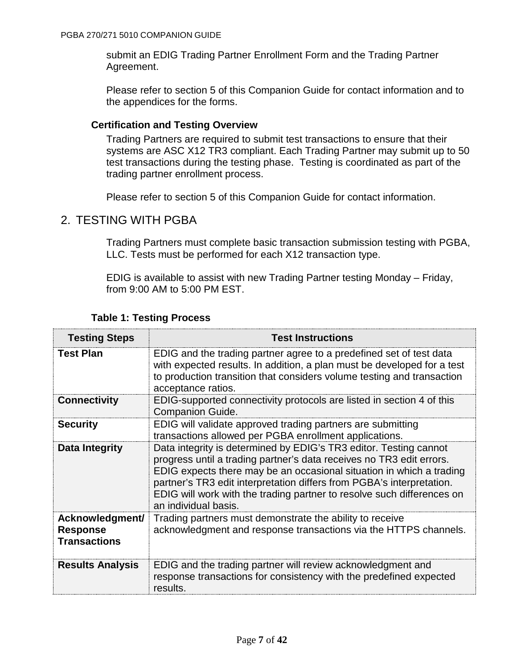submit an EDIG Trading Partner Enrollment Form and the Trading Partner Agreement.

Please refer to section 5 of this Companion Guide for contact information and to the appendices for the forms.

### **Certification and Testing Overview**

Trading Partners are required to submit test transactions to ensure that their systems are ASC X12 TR3 compliant. Each Trading Partner may submit up to 50 test transactions during the testing phase. Testing is coordinated as part of the trading partner enrollment process.

Please refer to section 5 of this Companion Guide for contact information.

# 2. TESTING WITH PGBA

Trading Partners must complete basic transaction submission testing with PGBA, LLC. Tests must be performed for each X12 transaction type.

EDIG is available to assist with new Trading Partner testing Monday – Friday, from 9:00 AM to 5:00 PM EST.

| <b>Testing Steps</b>                                      | <b>Test Instructions</b>                                                                                                                                                                                                                                                                                                                                                                     |
|-----------------------------------------------------------|----------------------------------------------------------------------------------------------------------------------------------------------------------------------------------------------------------------------------------------------------------------------------------------------------------------------------------------------------------------------------------------------|
| <b>Test Plan</b>                                          | EDIG and the trading partner agree to a predefined set of test data<br>with expected results. In addition, a plan must be developed for a test<br>to production transition that considers volume testing and transaction<br>acceptance ratios.                                                                                                                                               |
| <b>Connectivity</b>                                       | EDIG-supported connectivity protocols are listed in section 4 of this<br><b>Companion Guide.</b>                                                                                                                                                                                                                                                                                             |
| <b>Security</b>                                           | EDIG will validate approved trading partners are submitting<br>transactions allowed per PGBA enrollment applications.                                                                                                                                                                                                                                                                        |
| Data Integrity                                            | Data integrity is determined by EDIG's TR3 editor. Testing cannot<br>progress until a trading partner's data receives no TR3 edit errors.<br>EDIG expects there may be an occasional situation in which a trading<br>partner's TR3 edit interpretation differs from PGBA's interpretation.<br>EDIG will work with the trading partner to resolve such differences on<br>an individual basis. |
| Acknowledgment/<br><b>Response</b><br><b>Transactions</b> | Trading partners must demonstrate the ability to receive<br>acknowledgment and response transactions via the HTTPS channels.                                                                                                                                                                                                                                                                 |
| <b>Results Analysis</b>                                   | EDIG and the trading partner will review acknowledgment and<br>response transactions for consistency with the predefined expected<br>results.                                                                                                                                                                                                                                                |

### **Table 1: Testing Process**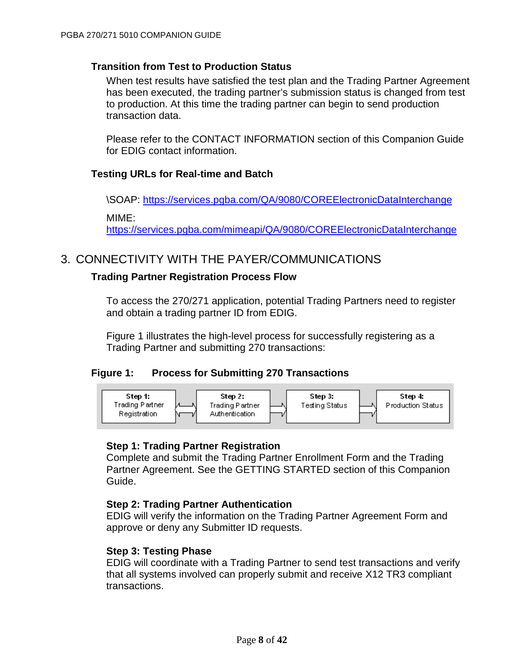### **Transition from Test to Production Status**

When test results have satisfied the test plan and the Trading Partner Agreement has been executed, the trading partner's submission status is changed from test to production. At this time the trading partner can begin to send production transaction data.

Please refer to the CONTACT INFORMATION section of this Companion Guide for EDIG contact information.

# **Testing URLs for Real-time and Batch**

\SOAP: <https://services.pgba.com/QA/9080/COREElectronicDataInterchange> MIME:

<https://services.pgba.com/mimeapi/QA/9080/COREElectronicDataInterchange>

# 3. CONNECTIVITY WITH THE PAYER/COMMUNICATIONS

### **Trading Partner Registration Process Flow**

To access the 270/271 application, potential Trading Partners need to register and obtain a trading partner ID from EDIG.

Figure 1 illustrates the high-level process for successfully registering as a Trading Partner and submitting 270 transactions:

### **Figure 1: Process for Submitting 270 Transactions**



### **Step 1: Trading Partner Registration**

Complete and submit the Trading Partner Enrollment Form and the Trading Partner Agreement. See the GETTING STARTED section of this Companion Guide.

### **Step 2: Trading Partner Authentication**

EDIG will verify the information on the Trading Partner Agreement Form and approve or deny any Submitter ID requests.

### **Step 3: Testing Phase**

EDIG will coordinate with a Trading Partner to send test transactions and verify that all systems involved can properly submit and receive X12 TR3 compliant transactions.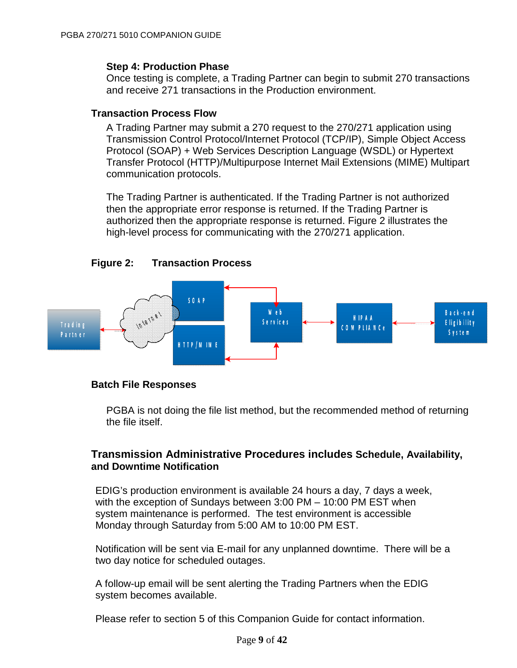### **Step 4: Production Phase**

Once testing is complete, a Trading Partner can begin to submit 270 transactions and receive 271 transactions in the Production environment.

# **Transaction Process Flow**

A Trading Partner may submit a 270 request to the 270/271 application using Transmission Control Protocol/Internet Protocol (TCP/IP), Simple Object Access Protocol (SOAP) + Web Services Description Language (WSDL) or Hypertext Transfer Protocol (HTTP)/Multipurpose Internet Mail Extensions (MIME) Multipart communication protocols.

The Trading Partner is authenticated. If the Trading Partner is not authorized then the appropriate error response is returned. If the Trading Partner is authorized then the appropriate response is returned. Figure 2 illustrates the high-level process for communicating with the 270/271 application.





### **Batch File Responses**

PGBA is not doing the file list method, but the recommended method of returning the file itself.

# **Transmission Administrative Procedures includes Schedule, Availability, and Downtime Notification**

EDIG's production environment is available 24 hours a day, 7 days a week, with the exception of Sundays between 3:00 PM – 10:00 PM EST when system maintenance is performed. The test environment is accessible Monday through Saturday from 5:00 AM to 10:00 PM EST.

Notification will be sent via E-mail for any unplanned downtime. There will be a two day notice for scheduled outages.

A follow-up email will be sent alerting the Trading Partners when the EDIG system becomes available.

Please refer to section 5 of this Companion Guide for contact information.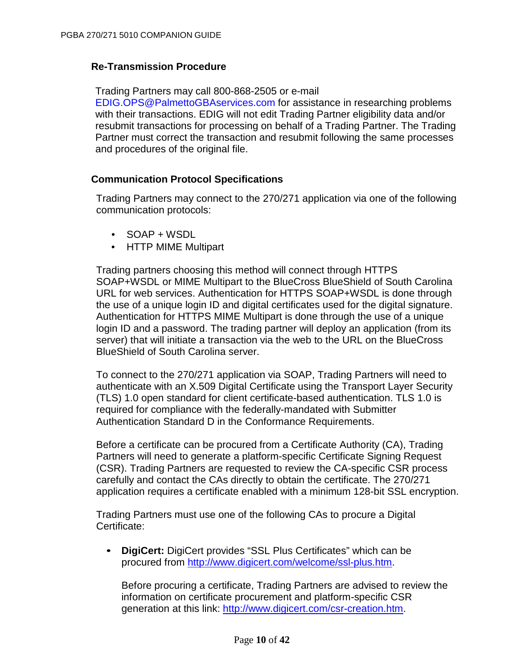### **Re-Transmission Procedure**

Trading Partners may call 800-868-2505 or e-mail

[EDIG.OPS@PalmettoGBAservices.com](mailto:EDIG.OPS@PalmettoGBA.com) for assistance in researching problems with their transactions. EDIG will not edit Trading Partner eligibility data and/or resubmit transactions for processing on behalf of a Trading Partner. The Trading Partner must correct the transaction and resubmit following the same processes and procedures of the original file.

### **Communication Protocol Specifications**

Trading Partners may connect to the 270/271 application via one of the following communication protocols:

- SOAP + WSDL
- HTTP MIME Multipart

Trading partners choosing this method will connect through HTTPS SOAP+WSDL or MIME Multipart to the BlueCross BlueShield of South Carolina URL for web services. Authentication for HTTPS SOAP+WSDL is done through the use of a unique login ID and digital certificates used for the digital signature. Authentication for HTTPS MIME Multipart is done through the use of a unique login ID and a password. The trading partner will deploy an application (from its server) that will initiate a transaction via the web to the URL on the BlueCross BlueShield of South Carolina server.

To connect to the 270/271 application via SOAP, Trading Partners will need to authenticate with an X.509 Digital Certificate using the Transport Layer Security (TLS) 1.0 open standard for client certificate-based authentication. TLS 1.0 is required for compliance with the federally-mandated with Submitter Authentication Standard D in the Conformance Requirements.

Before a certificate can be procured from a Certificate Authority (CA), Trading Partners will need to generate a platform-specific Certificate Signing Request (CSR). Trading Partners are requested to review the CA-specific CSR process carefully and contact the CAs directly to obtain the certificate. The 270/271 application requires a certificate enabled with a minimum 128-bit SSL encryption.

Trading Partners must use one of the following CAs to procure a Digital Certificate:

• **DigiCert:** DigiCert provides "SSL Plus Certificates" which can be procured from [http://www.digicert.com/welcome/ssl-plus.htm.](http://www.digicert.com/welcome/ssl-plus.htm)

Before procuring a certificate, Trading Partners are advised to review the information on certificate procurement and platform-specific CSR generation at this link: [http://www.digicert.com/csr-creation.htm.](http://www.digicert.com/csr-creation.htm)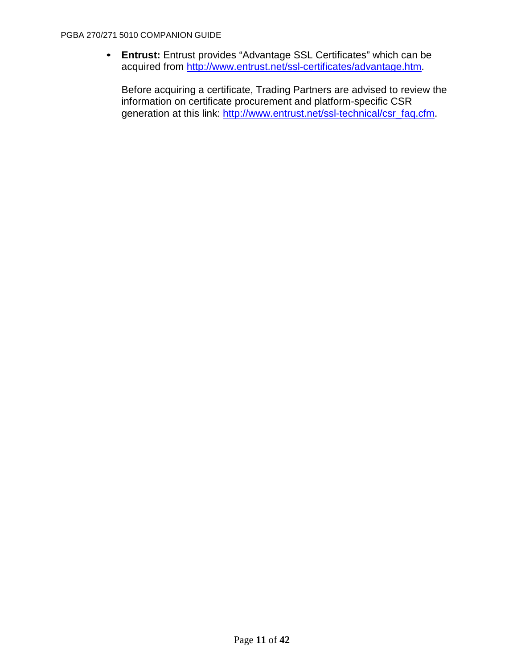• **Entrust:** Entrust provides "Advantage SSL Certificates" which can be acquired from [http://www.entrust.net/ssl-certificates/advantage.htm.](http://www.entrust.net/ssl-certificates/advantage.htm)

Before acquiring a certificate, Trading Partners are advised to review the information on certificate procurement and platform-specific CSR generation at this link: [http://www.entrust.net/ssl-technical/csr\\_faq.cfm.](http://www.entrust.net/ssl-technical/csr_faq.cfm)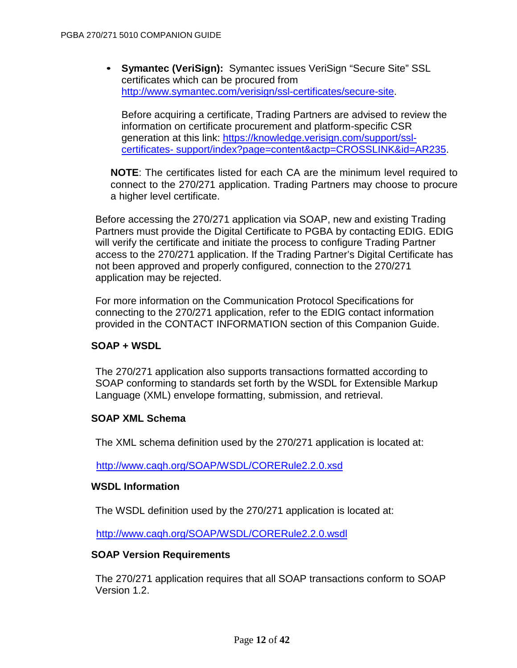• **Symantec (VeriSign):** Symantec issues VeriSign "Secure Site" SSL certificates which can be procured from http://www.symantec.com/verisign/ssl[-certificates/secure-site.](http://www.symantec.com/verisign/ssl-certificates/secure-site)

Before acquiring a certificate, Trading Partners are advised to review the information on certificate procurement and platform-specific CSR generation at this link: [https://knowledge.verisign.com/support/ssl](https://knowledge.verisign.com/support/ssl-certificates-support/index?page=content&actp=CROSSLINK&id=AR235)[certificates-](https://knowledge.verisign.com/support/ssl-certificates-support/index?page=content&actp=CROSSLINK&id=AR235) [support/index?page=content&actp=CROSSLINK&id=AR235.](https://knowledge.verisign.com/support/ssl-certificates-support/index?page=content&actp=CROSSLINK&id=AR235)

**NOTE**: The certificates listed for each CA are the minimum level required to connect to the 270/271 application. Trading Partners may choose to procure a higher level certificate.

Before accessing the 270/271 application via SOAP, new and existing Trading Partners must provide the Digital Certificate to PGBA by contacting EDIG. EDIG will verify the certificate and initiate the process to configure Trading Partner access to the 270/271 application. If the Trading Partner's Digital Certificate has not been approved and properly configured, connection to the 270/271 application may be rejected.

For more information on the Communication Protocol Specifications for connecting to the 270/271 application, refer to the EDIG contact information provided in the CONTACT INFORMATION section of this Companion Guide.

### **SOAP + WSDL**

The 270/271 application also supports transactions formatted according to SOAP conforming to standards set forth by the WSDL for Extensible Markup Language (XML) envelope formatting, submission, and retrieval.

#### **SOAP XML Schema**

The XML schema definition used by the 270/271 application is located at:

<http://www.caqh.org/SOAP/WSDL/CORERule2.2.0.xsd>

#### **WSDL Information**

The WSDL definition used by the 270/271 application is located at:

<http://www.caqh.org/SOAP/WSDL/CORERule2.2.0.wsdl>

#### **SOAP Version Requirements**

The 270/271 application requires that all SOAP transactions conform to SOAP Version 1.2.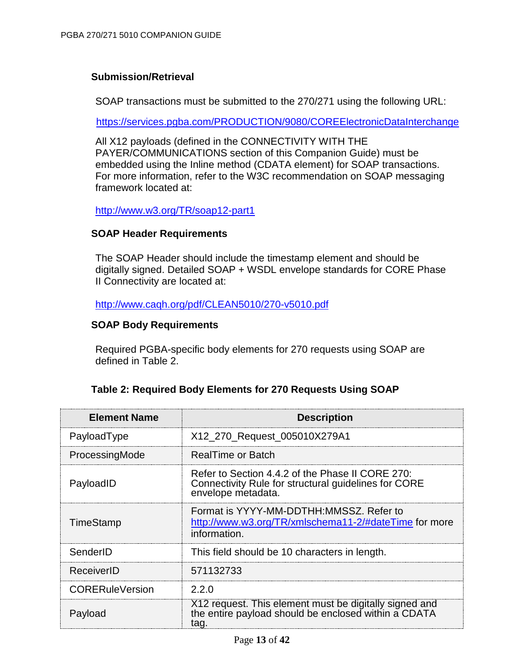## **Submission/Retrieval**

SOAP transactions must be submitted to the 270/271 using the following URL:

<https://services.pgba.com/PRODUCTION/9080/COREElectronicDataInterchange>

All X12 payloads (defined in the CONNECTIVITY WITH THE PAYER/COMMUNICATIONS section of this Companion Guide) must be embedded using the Inline method (CDATA element) for SOAP transactions. For more information, refer to the W3C recommendation on SOAP messaging framework located at:

<http://www.w3.org/TR/soap12-part1>

### **SOAP Header Requirements**

The SOAP Header should include the timestamp element and should be digitally signed. Detailed SOAP + WSDL envelope standards for CORE Phase II Connectivity are located at:

<http://www.caqh.org/pdf/CLEAN5010/270-v5010.pdf>

### **SOAP Body Requirements**

Required PGBA-specific body elements for 270 requests using SOAP are defined in Table 2.

### **Table 2: Required Body Elements for 270 Requests Using SOAP**

| <b>Element Name</b>    | <b>Description</b>                                                                                                             |
|------------------------|--------------------------------------------------------------------------------------------------------------------------------|
| PayloadType            | X12_270_Request_005010X279A1                                                                                                   |
| ProcessingMode         | RealTime or Batch                                                                                                              |
| PayloadID              | Refer to Section 4.4.2 of the Phase II CORE 270:<br>Connectivity Rule for structural guidelines for CORE<br>envelope metadata. |
| <b>TimeStamp</b>       | Format is YYYY-MM-DDTHH:MMSSZ, Refer to<br>http://www.w3.org/TR/xmlschema11-2/#dateTime for more<br>information.               |
| SenderID               | This field should be 10 characters in length.                                                                                  |
| ReceiverID             | 571132733                                                                                                                      |
| <b>CORERuleVersion</b> | 2.2.0                                                                                                                          |
| Payload                | X12 request. This element must be digitally signed and<br>the entire payload should be enclosed within a CDATA<br>tag.         |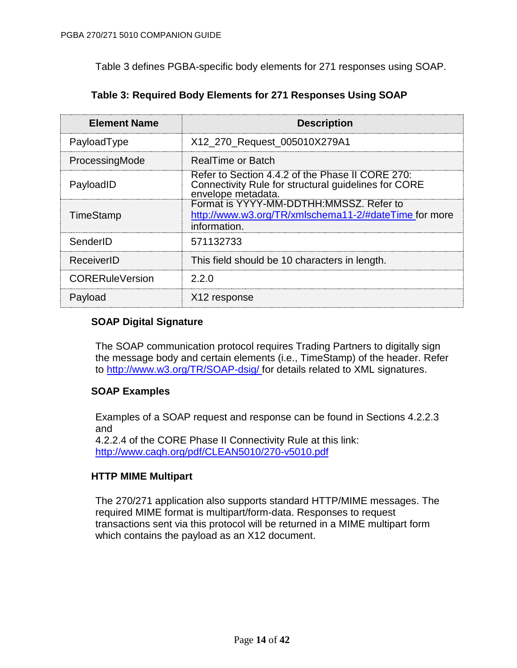Table 3 defines PGBA-specific body elements for 271 responses using SOAP.

| <b>Element Name</b>    | <b>Description</b>                                                                                                             |
|------------------------|--------------------------------------------------------------------------------------------------------------------------------|
| PayloadType            | X12_270_Request_005010X279A1                                                                                                   |
| ProcessingMode         | RealTime or Batch                                                                                                              |
| PayloadID              | Refer to Section 4.4.2 of the Phase II CORE 270:<br>Connectivity Rule for structural guidelines for CORE<br>envelope metadata. |
| <b>TimeStamp</b>       | Format is YYYY-MM-DDTHH:MMSSZ, Refer to<br>http://www.w3.org/TR/xmlschema11-2/#dateTime for more<br>information.               |
| SenderID               | 571132733                                                                                                                      |
| ReceiverID             | This field should be 10 characters in length.                                                                                  |
| <b>CORERuleVersion</b> | 2.2.0                                                                                                                          |
| Payload                | X12 response                                                                                                                   |

# **Table 3: Required Body Elements for 271 Responses Using SOAP**

# **SOAP Digital Signature**

The SOAP communication protocol requires Trading Partners to digitally sign the message body and certain elements (i.e., TimeStamp) of the header. Refer to [http://www.w3.org/TR/SOAP-dsig/ f](http://www.w3.org/TR/SOAP-dsig/)or details related to XML signatures.

# **SOAP Examples**

Examples of a SOAP request and response can be found in Sections 4.2.2.3 and 4.2.2.4 of the CORE Phase II Connectivity Rule at this link:

<http://www.caqh.org/pdf/CLEAN5010/270-v5010.pdf>

# **HTTP MIME Multipart**

The 270/271 application also supports standard HTTP/MIME messages. The required MIME format is multipart/form-data. Responses to request transactions sent via this protocol will be returned in a MIME multipart form which contains the payload as an X12 document.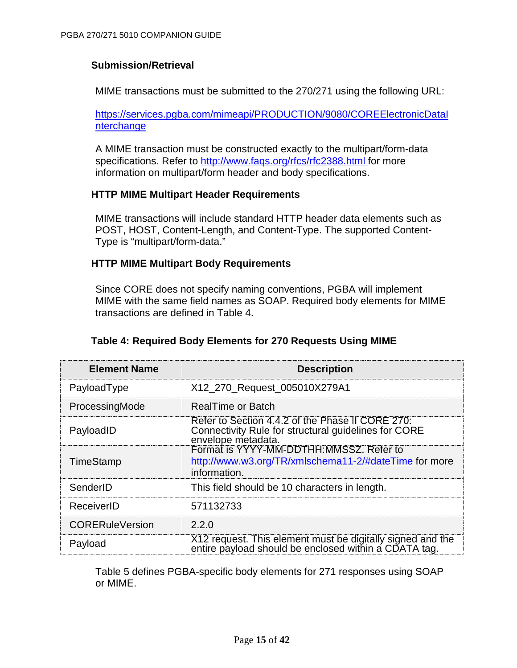### **Submission/Retrieval**

MIME transactions must be submitted to the 270/271 using the following URL:

[https://services.pgba.com/mimeapi/PRODUCTION/9080/COREElectronicDataI](https://services.pgba.com/mimeapi/PRODUCTION/9080/COREElectronicDataInterchange) [nterchange](https://services.pgba.com/mimeapi/PRODUCTION/9080/COREElectronicDataInterchange)

A MIME transaction must be constructed exactly to the multipart/form-data specifications. Refer to [http://www.faqs.org/rfcs/rfc2388.html f](http://www.faqs.org/rfcs/rfc2388.html)or more information on multipart/form header and body specifications.

#### **HTTP MIME Multipart Header Requirements**

MIME transactions will include standard HTTP header data elements such as POST, HOST, Content-Length, and Content-Type. The supported Content-Type is "multipart/form-data."

### **HTTP MIME Multipart Body Requirements**

Since CORE does not specify naming conventions, PGBA will implement MIME with the same field names as SOAP. Required body elements for MIME transactions are defined in Table 4.

| <b>Element Name</b>    | <b>Description</b>                                                                                                             |
|------------------------|--------------------------------------------------------------------------------------------------------------------------------|
| PayloadType            | X12_270_Request_005010X279A1                                                                                                   |
| ProcessingMode         | <b>RealTime or Batch</b>                                                                                                       |
| PayloadID              | Refer to Section 4.4.2 of the Phase II CORE 270:<br>Connectivity Rule for structural guidelines for CORE<br>envelope metadata. |
| TimeStamp              | Format is YYYY-MM-DDTHH:MMSSZ, Refer to<br>http://www.w3.org/TR/xmlschema11-2/#dateTime for more<br>information.               |
| SenderID               | This field should be 10 characters in length.                                                                                  |
| ReceiverID             | 571132733                                                                                                                      |
| <b>CORERuleVersion</b> | 2.2.0                                                                                                                          |
| Payload                | X12 request. This element must be digitally signed and the<br>entire payload should be enclosed within a CDATA tag.            |

### **Table 4: Required Body Elements for 270 Requests Using MIME**

Table 5 defines PGBA-specific body elements for 271 responses using SOAP or MIME.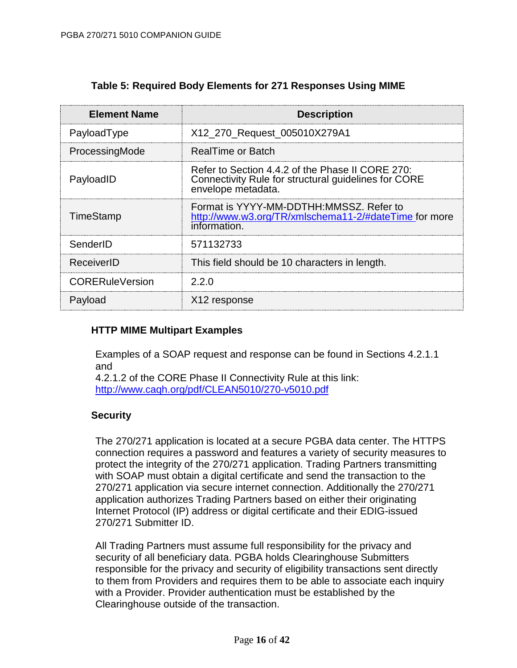| <b>Element Name</b>    | <b>Description</b>                                                                                                             |
|------------------------|--------------------------------------------------------------------------------------------------------------------------------|
| PayloadType            | X12_270_Request_005010X279A1                                                                                                   |
| ProcessingMode         | RealTime or Batch                                                                                                              |
| PayloadID              | Refer to Section 4.4.2 of the Phase II CORE 270:<br>Connectivity Rule for structural guidelines for CORE<br>envelope metadata. |
| <b>TimeStamp</b>       | Format is YYYY-MM-DDTHH:MMSSZ, Refer to<br>http://www.w3.org/TR/xmlschema11-2/#dateTime for more<br>information.               |
| SenderID               | 571132733                                                                                                                      |
| ReceiverID             | This field should be 10 characters in length.                                                                                  |
| <b>CORERuleVersion</b> | 2.2.0                                                                                                                          |
| Payload                | X12 response                                                                                                                   |

## **Table 5: Required Body Elements for 271 Responses Using MIME**

# **HTTP MIME Multipart Examples**

Examples of a SOAP request and response can be found in Sections 4.2.1.1 and

4.2.1.2 of the CORE Phase II Connectivity Rule at this link: <http://www.caqh.org/pdf/CLEAN5010/270-v5010.pdf>

### **Security**

The 270/271 application is located at a secure PGBA data center. The HTTPS connection requires a password and features a variety of security measures to protect the integrity of the 270/271 application. Trading Partners transmitting with SOAP must obtain a digital certificate and send the transaction to the 270/271 application via secure internet connection. Additionally the 270/271 application authorizes Trading Partners based on either their originating Internet Protocol (IP) address or digital certificate and their EDIG-issued 270/271 Submitter ID.

All Trading Partners must assume full responsibility for the privacy and security of all beneficiary data. PGBA holds Clearinghouse Submitters responsible for the privacy and security of eligibility transactions sent directly to them from Providers and requires them to be able to associate each inquiry with a Provider. Provider authentication must be established by the Clearinghouse outside of the transaction.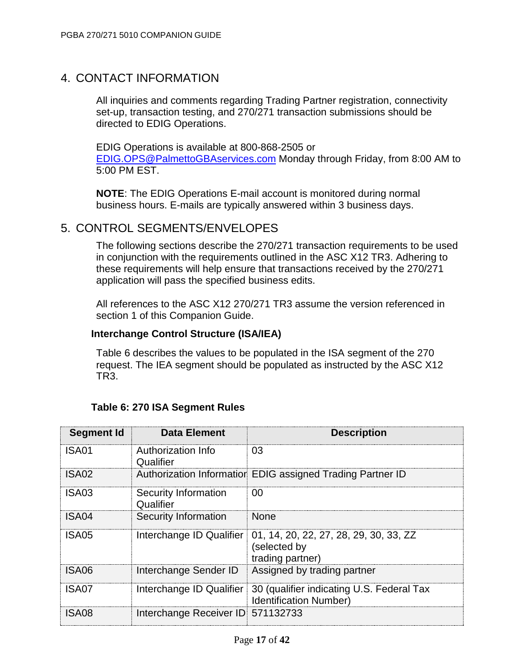# 4. CONTACT INFORMATION

All inquiries and comments regarding Trading Partner registration, connectivity set-up, transaction testing, and 270/271 transaction submissions should be directed to EDIG Operations.

EDIG Operations is available at 800-868-2505 or [EDIG.OPS@PalmettoGBAservices.com](mailto:EDIG.OPS@PalmettoGBA.com) Monday through Friday, from 8:00 AM to 5:00 PM EST.

**NOTE**: The EDIG Operations E-mail account is monitored during normal business hours. E-mails are typically answered within 3 business days.

# 5. CONTROL SEGMENTS/ENVELOPES

The following sections describe the 270/271 transaction requirements to be used in conjunction with the requirements outlined in the ASC X12 TR3. Adhering to these requirements will help ensure that transactions received by the 270/271 application will pass the specified business edits.

All references to the ASC X12 270/271 TR3 assume the version referenced in section 1 of this Companion Guide.

### **Interchange Control Structure (ISA/IEA)**

Table 6 describes the values to be populated in the ISA segment of the 270 request. The IEA segment should be populated as instructed by the ASC X12 TR3.

| Segment Id | <b>Data Element</b>               | <b>Description</b>                                                                                  |
|------------|-----------------------------------|-----------------------------------------------------------------------------------------------------|
| ISA01      | Authorization Info<br>Qualifier   | 03                                                                                                  |
| ISA02      |                                   | Authorization Information EDIG assigned Trading Partner ID                                          |
| ISA03      | Security Information<br>Qualifier | 00                                                                                                  |
| ISA04      | Security Information              | <b>None</b>                                                                                         |
| ISA05      | Interchange ID Qualifier          | 01, 14, 20, 22, 27, 28, 29, 30, 33, ZZ<br>(selected by<br>trading partner)                          |
| ISA06      | Interchange Sender ID             | Assigned by trading partner                                                                         |
| ISA07      |                                   | Interchange ID Qualifier 30 (qualifier indicating U.S. Federal Tax<br><b>Identification Number)</b> |
| ISA08      | Interchange Receiver ID 571132733 |                                                                                                     |

# **Table 6: 270 ISA Segment Rules**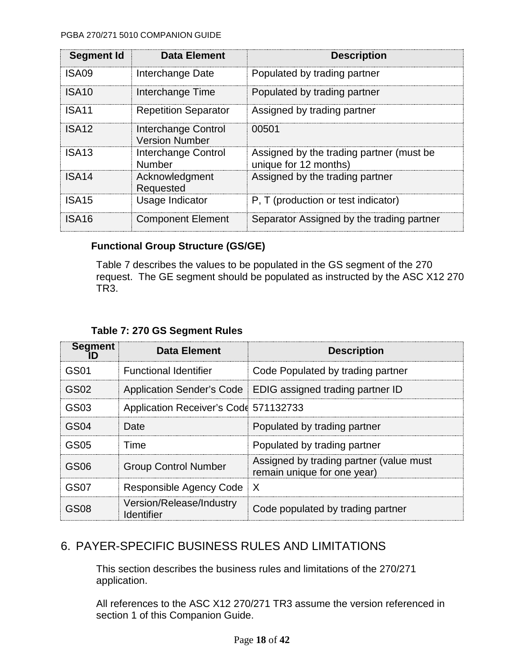#### PGBA 270/271 5010 COMPANION GUIDE

| Segment Id        | <b>Data Element</b>                          | <b>Description</b>                                                |
|-------------------|----------------------------------------------|-------------------------------------------------------------------|
| ISA09             | Interchange Date                             | Populated by trading partner                                      |
| ISA10             | Interchange Time                             | Populated by trading partner                                      |
| ISA <sub>11</sub> | <b>Repetition Separator</b>                  | Assigned by trading partner                                       |
| ISA <sub>12</sub> | Interchange Control<br><b>Version Number</b> | 00501                                                             |
| ISA <sub>13</sub> | Interchange Control<br><b>Number</b>         | Assigned by the trading partner (must be<br>unique for 12 months) |
| ISA <sub>14</sub> | Acknowledgment<br>Requested                  | Assigned by the trading partner                                   |
| ISA <sub>15</sub> | Usage Indicator                              | P. T (production or test indicator)                               |
| ISA16             | <b>Component Element</b>                     | Separator Assigned by the trading partner                         |

# **Functional Group Structure (GS/GE)**

Table 7 describes the values to be populated in the GS segment of the 270 request. The GE segment should be populated as instructed by the ASC X12 270 TR3.

|  |  |  |  | Table 7: 270 GS Segment Rules |  |
|--|--|--|--|-------------------------------|--|
|--|--|--|--|-------------------------------|--|

| <b>Segment</b> | Data Element                           | <b>Description</b>                                                     |
|----------------|----------------------------------------|------------------------------------------------------------------------|
| GS01           | <b>Functional Identifier</b>           | Code Populated by trading partner                                      |
| GS02           |                                        | Application Sender's Code   EDIG assigned trading partner ID           |
| GS03           | Application Receiver's Code 571132733  |                                                                        |
| GS04           | <b>Date</b>                            | Populated by trading partner                                           |
| GS05           | Time                                   | Populated by trading partner                                           |
| GS06           | <b>Group Control Number</b>            | Assigned by trading partner (value must<br>remain unique for one year) |
| GS07           | Responsible Agency Code                | $\mathsf{I} \times$                                                    |
| GS08           | Version/Release/Industry<br>Identifier | Code populated by trading partner                                      |

# 6. PAYER-SPECIFIC BUSINESS RULES AND LIMITATIONS

This section describes the business rules and limitations of the 270/271 application.

All references to the ASC X12 270/271 TR3 assume the version referenced in section 1 of this Companion Guide.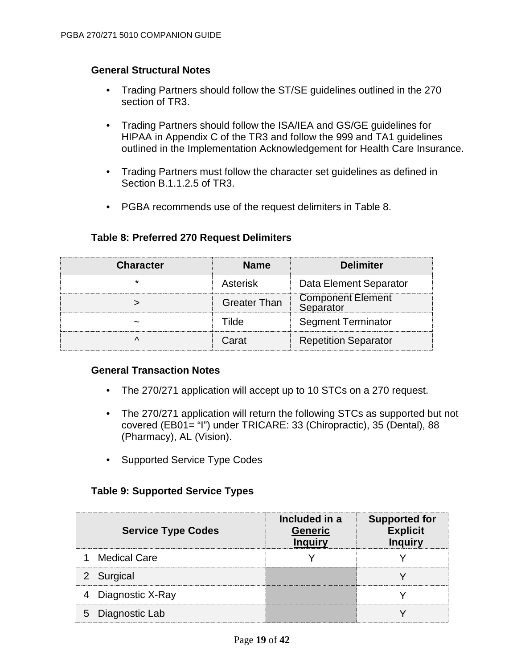### **General Structural Notes**

- Trading Partners should follow the ST/SE guidelines outlined in the 270 section of TR3.
- Trading Partners should follow the ISA/IEA and GS/GE guidelines for HIPAA in Appendix C of the TR3 and follow the 999 and TA1 guidelines outlined in the Implementation Acknowledgement for Health Care Insurance.
- Trading Partners must follow the character set guidelines as defined in Section B.1.1.2.5 of TR3.
- PGBA recommends use of the request delimiters in Table 8.

| <b>Character</b> | <b>Name</b>         | <b>Delimiter</b>                      |
|------------------|---------------------|---------------------------------------|
|                  | Asterisk            | Data Element Separator                |
|                  | <b>Greater Than</b> | <b>Component Element</b><br>Separator |
|                  |                     | <b>Segment Terminator</b>             |
|                  | Carat               | <b>Repetition Separator</b>           |

### **Table 8: Preferred 270 Request Delimiters**

### **General Transaction Notes**

- The 270/271 application will accept up to 10 STCs on a 270 request.
- The 270/271 application will return the following STCs as supported but not covered (EB01= "I") under TRICARE: 33 (Chiropractic), 35 (Dental), 88 (Pharmacy), AL (Vision).
- Supported Service Type Codes

# **Table 9: Supported Service Types**

| <b>Service Type Codes</b> | Included in a<br><b>Generic</b> | <b>Supported for</b><br><b>Explicit</b><br><b>Inquirv</b> |
|---------------------------|---------------------------------|-----------------------------------------------------------|
| <b>Medical Care</b>       |                                 |                                                           |
| 2 Surgical                |                                 |                                                           |
| Diagnostic X-Ray          |                                 |                                                           |
| Diagnostic Lab<br>5       |                                 |                                                           |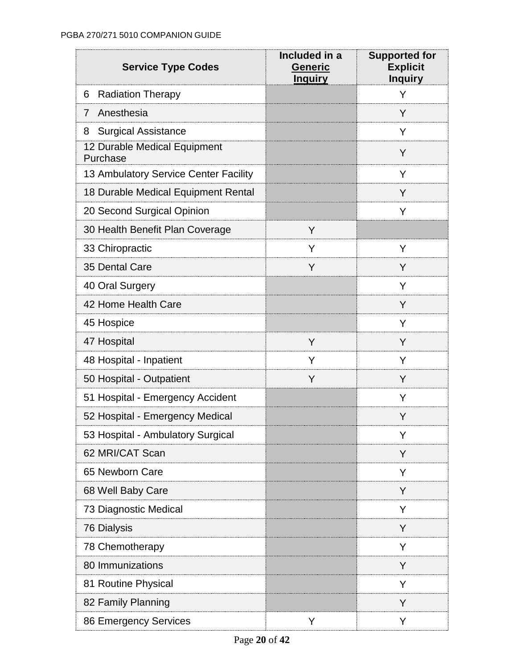| <b>Service Type Codes</b>                | Included in a<br><b>Generic</b><br><b>Inquiry</b> | <b>Supported for</b><br><b>Explicit</b><br><b>Inquiry</b> |
|------------------------------------------|---------------------------------------------------|-----------------------------------------------------------|
| 6<br><b>Radiation Therapy</b>            |                                                   | Y                                                         |
| Anesthesia<br>7                          |                                                   | Y                                                         |
| <b>Surgical Assistance</b><br>8          |                                                   | Y                                                         |
| 12 Durable Medical Equipment<br>Purchase |                                                   | Y                                                         |
| 13 Ambulatory Service Center Facility    |                                                   | Y                                                         |
| 18 Durable Medical Equipment Rental      |                                                   | Y                                                         |
| 20 Second Surgical Opinion               |                                                   | Y                                                         |
| 30 Health Benefit Plan Coverage          | Y                                                 |                                                           |
| 33 Chiropractic                          | Y                                                 | Y                                                         |
| 35 Dental Care                           | Y                                                 | Y                                                         |
| 40 Oral Surgery                          |                                                   | Y                                                         |
| 42 Home Health Care                      |                                                   | Y                                                         |
| 45 Hospice                               |                                                   | Y                                                         |
| 47 Hospital                              | Y                                                 | Y                                                         |
| 48 Hospital - Inpatient                  | Y                                                 | Y                                                         |
| 50 Hospital - Outpatient                 | Y                                                 | Y                                                         |
| 51 Hospital - Emergency Accident         |                                                   | Y                                                         |
| 52 Hospital - Emergency Medical          |                                                   | Y                                                         |
| 53 Hospital - Ambulatory Surgical        |                                                   | Y                                                         |
| 62 MRI/CAT Scan                          |                                                   | Y                                                         |
| 65 Newborn Care                          |                                                   | Y                                                         |
| 68 Well Baby Care                        |                                                   | Y                                                         |
| 73 Diagnostic Medical                    |                                                   | Y                                                         |
| 76 Dialysis                              |                                                   | Y                                                         |
| 78 Chemotherapy                          |                                                   | Y                                                         |
| 80 Immunizations                         |                                                   | Y                                                         |
| 81 Routine Physical                      |                                                   | Y                                                         |
| 82 Family Planning                       |                                                   | Y                                                         |
| 86 Emergency Services                    | Y                                                 | Y                                                         |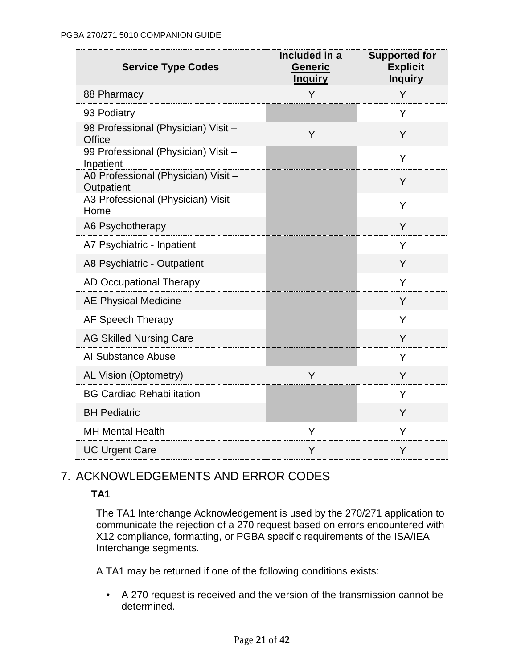| <b>Service Type Codes</b>                         | Included in a<br><b>Generic</b><br><b>Inquiry</b> | <b>Supported for</b><br><b>Explicit</b><br><b>Inquiry</b> |
|---------------------------------------------------|---------------------------------------------------|-----------------------------------------------------------|
| 88 Pharmacy                                       | Y                                                 | Y                                                         |
| 93 Podiatry                                       |                                                   | Y                                                         |
| 98 Professional (Physician) Visit -<br>Office     | Y                                                 | Y                                                         |
| 99 Professional (Physician) Visit-<br>Inpatient   |                                                   | Y                                                         |
| A0 Professional (Physician) Visit -<br>Outpatient |                                                   | Y                                                         |
| A3 Professional (Physician) Visit -<br>Home       |                                                   | Υ                                                         |
| A6 Psychotherapy                                  |                                                   | Y                                                         |
| A7 Psychiatric - Inpatient                        |                                                   | Y                                                         |
| A8 Psychiatric - Outpatient                       |                                                   | Y                                                         |
| <b>AD Occupational Therapy</b>                    |                                                   | Y                                                         |
| <b>AE Physical Medicine</b>                       |                                                   | Y                                                         |
| AF Speech Therapy                                 |                                                   | Y                                                         |
| <b>AG Skilled Nursing Care</b>                    |                                                   | Y                                                         |
| Al Substance Abuse                                |                                                   | Y                                                         |
| AL Vision (Optometry)                             | Y                                                 | Y                                                         |
| <b>BG Cardiac Rehabilitation</b>                  |                                                   | Y                                                         |
| <b>BH Pediatric</b>                               |                                                   | Y                                                         |
| <b>MH Mental Health</b>                           | Υ                                                 | Y                                                         |
| <b>UC Urgent Care</b>                             | Y                                                 | Y                                                         |

# 7. ACKNOWLEDGEMENTS AND ERROR CODES

# **TA1**

The TA1 Interchange Acknowledgement is used by the 270/271 application to communicate the rejection of a 270 request based on errors encountered with X12 compliance, formatting, or PGBA specific requirements of the ISA/IEA Interchange segments.

A TA1 may be returned if one of the following conditions exists:

• A 270 request is received and the version of the transmission cannot be determined.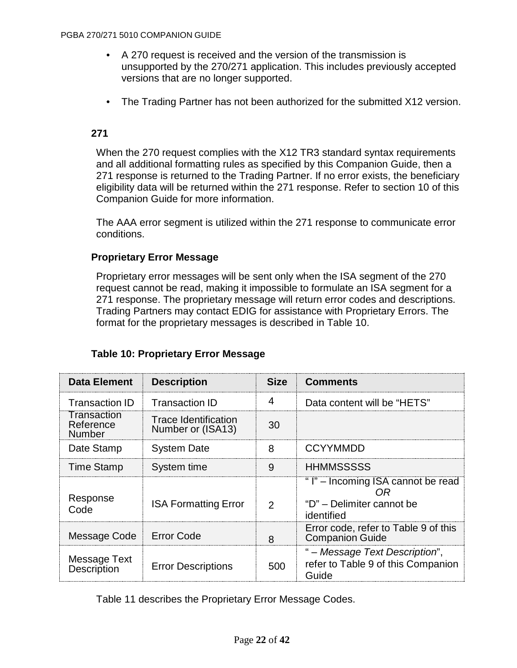- A 270 request is received and the version of the transmission is unsupported by the 270/271 application. This includes previously accepted versions that are no longer supported.
- The Trading Partner has not been authorized for the submitted X12 version.

### **271**

When the 270 request complies with the X12 TR3 standard syntax requirements and all additional formatting rules as specified by this Companion Guide, then a 271 response is returned to the Trading Partner. If no error exists, the beneficiary eligibility data will be returned within the 271 response. Refer to section 10 of this Companion Guide for more information.

The AAA error segment is utilized within the 271 response to communicate error conditions.

### **Proprietary Error Message**

Proprietary error messages will be sent only when the ISA segment of the 270 request cannot be read, making it impossible to formulate an ISA segment for a 271 response. The proprietary message will return error codes and descriptions. Trading Partners may contact EDIG for assistance with Proprietary Errors. The format for the proprietary messages is described in Table 10.

| <b>Data Element</b>                       | <b>Description</b>                        | <b>Size</b>   | <b>Comments</b>                                                                    |
|-------------------------------------------|-------------------------------------------|---------------|------------------------------------------------------------------------------------|
| <b>Transaction ID</b>                     | <b>Transaction ID</b>                     | 4             | Data content will be "HETS"                                                        |
| Transaction<br>Reference<br><b>Number</b> | Trace Identification<br>Number or (ISA13) | 30            |                                                                                    |
| Date Stamp                                | <b>System Date</b>                        | 8             | <b>CCYYMMDD</b>                                                                    |
| <b>Time Stamp</b>                         | System time                               | 9             | <b>HHMMSSSSS</b>                                                                   |
| Response<br>Code                          | <b>ISA Formatting Error</b>               | $\mathcal{P}$ | "I" – Incoming ISA cannot be read<br>OR<br>"D" - Delimiter cannot be<br>identified |
| Message Code                              | <b>Error Code</b>                         | 8             | Error code, refer to Table 9 of this<br><b>Companion Guide</b>                     |
| Message Text<br><b>Description</b>        | <b>Error Descriptions</b>                 | 500           | " – Message Text Description",<br>refer to Table 9 of this Companion<br>Guide      |

# **Table 10: Proprietary Error Message**

Table 11 describes the Proprietary Error Message Codes.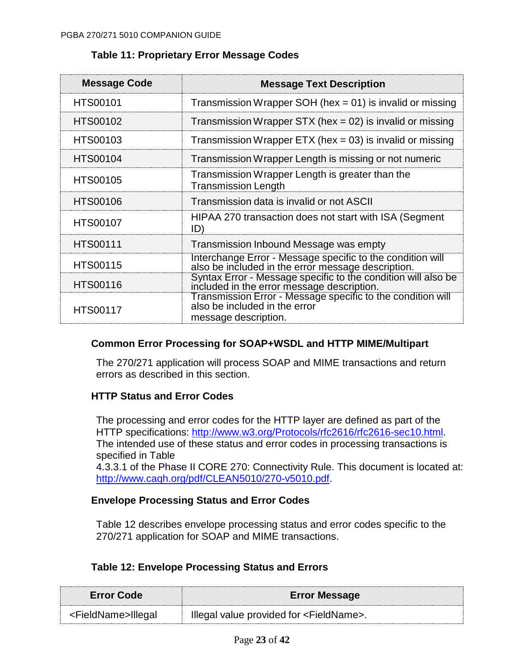| Message Code    | <b>Message Text Description</b>                                                                                      |
|-----------------|----------------------------------------------------------------------------------------------------------------------|
| <b>HTS00101</b> | Transmission Wrapper SOH (hex = 01) is invalid or missing                                                            |
| <b>HTS00102</b> | Transmission Wrapper STX (hex = $02$ ) is invalid or missing                                                         |
| <b>HTS00103</b> | Transmission Wrapper ETX (hex = $03$ ) is invalid or missing                                                         |
| <b>HTS00104</b> | Transmission Wrapper Length is missing or not numeric                                                                |
| <b>HTS00105</b> | Transmission Wrapper Length is greater than the<br><b>Transmission Length</b>                                        |
| <b>HTS00106</b> | Transmission data is invalid or not ASCII                                                                            |
| <b>HTS00107</b> | HIPAA 270 transaction does not start with ISA (Segment<br>ID)                                                        |
| <b>HTS00111</b> | Transmission Inbound Message was empty                                                                               |
| <b>HTS00115</b> | Interchange Error - Message specific to the condition will<br>also be included in the error message description.     |
| <b>HTS00116</b> | Syntax Error - Message specific to the condition will also be<br>included in the error message description.          |
| <b>HTS00117</b> | Transmission Error - Message specific to the condition will<br>also be included in the error<br>message description. |

# **Table 11: Proprietary Error Message Codes**

# **Common Error Processing for SOAP+WSDL and HTTP MIME/Multipart**

The 270/271 application will process SOAP and MIME transactions and return errors as described in this section.

# **HTTP Status and Error Codes**

The processing and error codes for the HTTP layer are defined as part of the HTTP specifications: [http://www.w3.org/Protocols/rfc2616/rfc2616-sec10.html.](http://www.w3.org/Protocols/rfc2616/rfc2616-sec10.html) The intended use of these status and error codes in processing transactions is specified in Table

4.3.3.1 of the Phase II CORE 270: Connectivity Rule. This document is located at: [http://www.caqh.org/pdf/CLEAN5010/270-v5010.pdf.](http://www.caqh.org/pdf/CLEAN5010/270-v5010.pdf)

### **Envelope Processing Status and Error Codes**

Table 12 describes envelope processing status and error codes specific to the 270/271 application for SOAP and MIME transactions.

# **Table 12: Envelope Processing Status and Errors**

| <b>Error Code</b>              | <b>Error Message</b>                                |
|--------------------------------|-----------------------------------------------------|
| <fieldname>Illegal</fieldname> | Illegal value provided for <fieldname>.</fieldname> |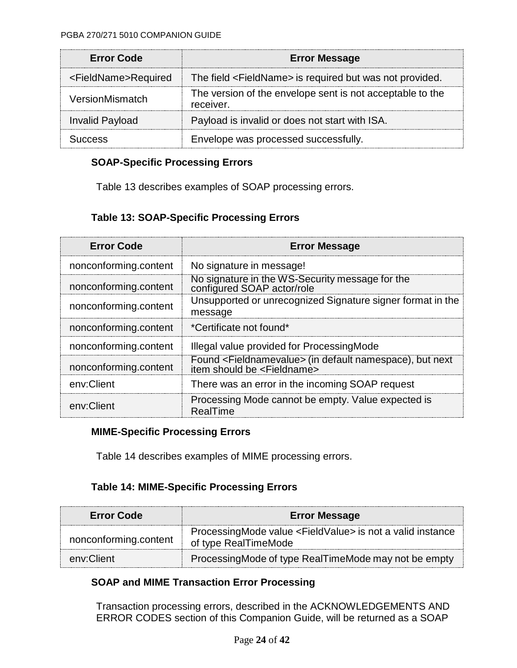| <b>Error Code</b>               | <b>Error Message</b>                                                   |
|---------------------------------|------------------------------------------------------------------------|
| <fieldname>Required</fieldname> | The field <fieldname> is required but was not provided.</fieldname>    |
| VersionMismatch                 | The version of the envelope sent is not acceptable to the<br>receiver. |
| <b>Invalid Payload</b>          | Payload is invalid or does not start with ISA.                         |
| LICCASS                         | Envelope was processed successfully.                                   |

# **SOAP-Specific Processing Errors**

Table 13 describes examples of SOAP processing errors.

# **Table 13: SOAP-Specific Processing Errors**

| <b>Error Code</b>     | <b>Error Message</b>                                                                                                |
|-----------------------|---------------------------------------------------------------------------------------------------------------------|
| nonconforming.content | No signature in message!                                                                                            |
| nonconforming.content | No signature in the WS-Security message for the<br>configured SOAP actor/role                                       |
| nonconforming.content | Unsupported or unrecognized Signature signer format in the<br>message                                               |
| nonconforming.content | *Certificate not found*                                                                                             |
| nonconforming.content | Illegal value provided for ProcessingMode                                                                           |
| nonconforming.content | Found <fieldnamevalue> (in default namespace), but next<br/>item should be <fieldname></fieldname></fieldnamevalue> |
| env:Client            | There was an error in the incoming SOAP request                                                                     |
| env:Client            | Processing Mode cannot be empty. Value expected is<br>RealTime                                                      |

### **MIME-Specific Processing Errors**

Table 14 describes examples of MIME processing errors.

# **Table 14: MIME-Specific Processing Errors**

| <b>Error Code</b>     | <b>Error Message</b>                                                                            |  |  |
|-----------------------|-------------------------------------------------------------------------------------------------|--|--|
| nonconforming.content | ProcessingMode value <fieldvalue> is not a valid instance<br/>of type RealTimeMode</fieldvalue> |  |  |
| env:Client            | ProcessingMode of type RealTimeMode may not be empty                                            |  |  |

# **SOAP and MIME Transaction Error Processing**

Transaction processing errors, described in the ACKNOWLEDGEMENTS AND ERROR CODES section of this Companion Guide, will be returned as a SOAP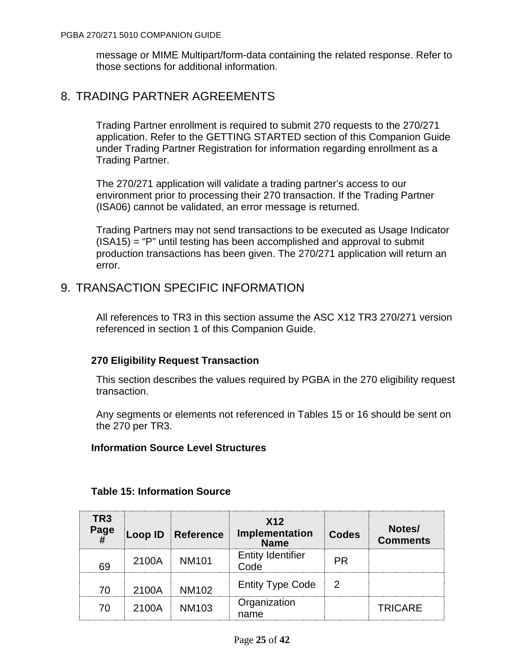message or MIME Multipart/form-data containing the related response. Refer to those sections for additional information.

# 8. TRADING PARTNER AGREEMENTS

Trading Partner enrollment is required to submit 270 requests to the 270/271 application. Refer to the GETTING STARTED section of this Companion Guide under Trading Partner Registration for information regarding enrollment as a Trading Partner.

The 270/271 application will validate a trading partner's access to our environment prior to processing their 270 transaction. If the Trading Partner (ISA06) cannot be validated, an error message is returned.

Trading Partners may not send transactions to be executed as Usage Indicator  $(ISA15) = "P"$  until testing has been accomplished and approval to submit production transactions has been given. The 270/271 application will return an error.

# 9. TRANSACTION SPECIFIC INFORMATION

All references to TR3 in this section assume the ASC X12 TR3 270/271 version referenced in section 1 of this Companion Guide.

# **270 Eligibility Request Transaction**

This section describes the values required by PGBA in the 270 eligibility request transaction.

Any segments or elements not referenced in Tables 15 or 16 should be sent on the 270 per TR3.

### **Information Source Level Structures**

| TR3<br>Page |       | <b>Loop ID Reference</b> | X <sub>12</sub><br>Implementation<br>Name | <b>Codes</b> | Notes/<br><b>Comments</b> |
|-------------|-------|--------------------------|-------------------------------------------|--------------|---------------------------|
| 69          |       | 2100A   NM101            | <b>Entity Identifier</b><br>Code          | <b>PR</b>    |                           |
| 7٨          | 2100A | <b>NM102</b>             | <b>Entity Type Code</b>                   |              |                           |
| 70          | 2100A | <b>NM103</b>             | Organization<br>name                      |              | <b>TRICARE</b>            |

### **Table 15: Information Source**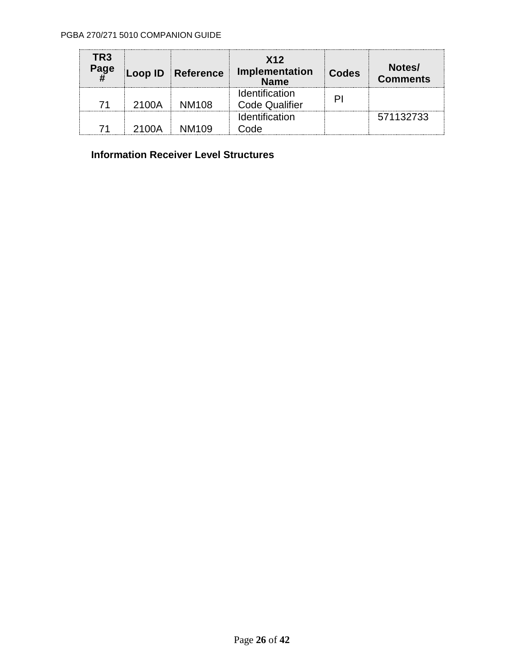| TR3<br>Page |       | Loop ID Reference | X <sub>12</sub><br>Implementation<br><b>Name</b> | <b>Codes</b> | Notes/<br><b>Comments</b> |
|-------------|-------|-------------------|--------------------------------------------------|--------------|---------------------------|
| 71          | 2100A | NM <sub>108</sub> | <b>Identification</b><br><b>Code Qualifier</b>   |              |                           |
|             | 2100A | NM109             | Identification<br>Code                           |              | 571132733                 |

# **Information Receiver Level Structures**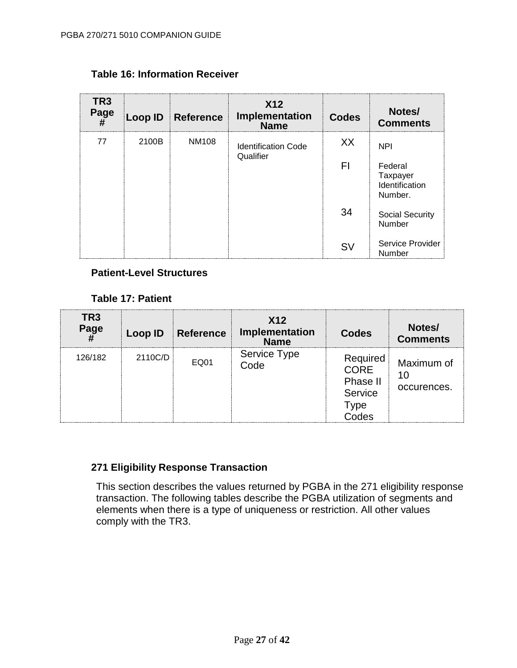| TR <sub>3</sub><br>Page<br># | Loop ID | Reference    | <b>X12</b><br>Implementation<br><b>Name</b> | <b>Codes</b> | Notes/<br><b>Comments</b>                        |
|------------------------------|---------|--------------|---------------------------------------------|--------------|--------------------------------------------------|
| 77                           | 2100B   | <b>NM108</b> | <b>Identification Code</b><br>Qualifier     | XX           | <b>NPI</b>                                       |
|                              |         |              |                                             | FI           | Federal<br>Taxpayer<br>Identification<br>Number. |
|                              |         |              |                                             | 34           | <b>Social Security</b><br>Number                 |
|                              |         |              |                                             | <b>SV</b>    | Service Provider<br><b>Number</b>                |

# **Table 16: Information Receiver**

### **Patient-Level Structures**

### **Table 17: Patient**

| TR <sub>3</sub><br>Page | Loop ID | Reference | X <sub>12</sub><br>Implementation<br><b>Name</b> | <b>Codes</b>                                             | Notes/<br><b>Comments</b> |
|-------------------------|---------|-----------|--------------------------------------------------|----------------------------------------------------------|---------------------------|
| 126/182                 | 2110C/D | EQ01      | Service Type<br>Code                             | Required<br>CORE<br>Phase II<br>Service<br>Type<br>Codes | Maximum of<br>occurences. |

# **271 Eligibility Response Transaction**

This section describes the values returned by PGBA in the 271 eligibility response transaction. The following tables describe the PGBA utilization of segments and elements when there is a type of uniqueness or restriction. All other values comply with the TR3.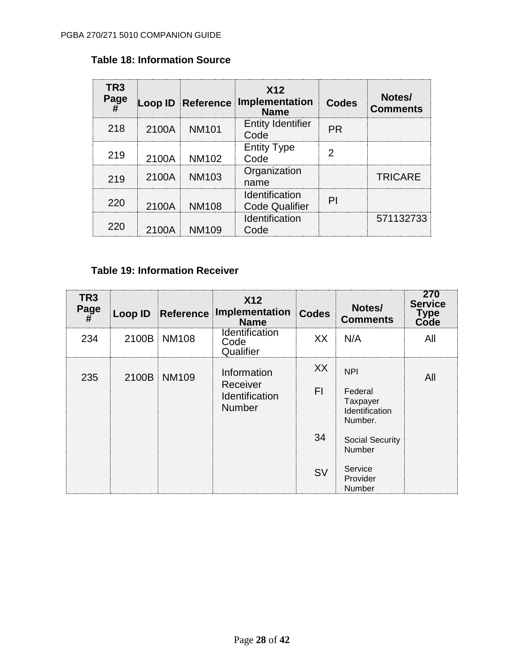| TR <sub>3</sub><br>Page |       | Loop ID Reference | X <sub>12</sub><br>Implementation<br><b>Name</b> | <b>Codes</b> | Notes/<br><b>Comments</b> |
|-------------------------|-------|-------------------|--------------------------------------------------|--------------|---------------------------|
| 218                     | 2100A | <b>NM101</b>      | <b>Entity Identifier</b><br>Code                 | <b>PR</b>    |                           |
| 219                     | 2100A | NM102             | <b>Entity Type</b><br>Code                       | 2            |                           |
| 219                     | 2100A | <b>NM103</b>      | Organization<br>name                             |              | <b>TRICARE</b>            |
| 220                     | 2100A | <b>NM108</b>      | Identification<br><b>Code Qualifier</b>          | PI           |                           |
| 220                     | 2100A | NM109             | Identification<br>Code                           |              | 571132733                 |

# **Table 18: Information Source**

# **Table 19: Information Receiver**

| TR <sub>3</sub><br>Page<br>$\overline{H}$ | Loop ID | Reference    | X <sub>12</sub><br>Implementation<br><b>Name</b>           | <b>Codes</b> | Notes/<br><b>Comments</b>                                      | 270<br><b>Service</b><br><b>Type<br/>Code</b> |
|-------------------------------------------|---------|--------------|------------------------------------------------------------|--------------|----------------------------------------------------------------|-----------------------------------------------|
| 234                                       | 2100B   | NM108        | <b>Identification</b><br>Code<br>Qualifier                 | XX           | N/A                                                            | All                                           |
| 235                                       | 2100B   | <b>NM109</b> | Information<br>Receiver<br>Identification<br><b>Number</b> | XX<br>FI     | <b>NPI</b><br>Federal<br>Taxpayer<br>Identification<br>Number. | All                                           |
|                                           |         |              |                                                            | 34           | <b>Social Security</b><br>Number                               |                                               |
|                                           |         |              |                                                            | <b>SV</b>    | Service<br>Provider<br>Number                                  |                                               |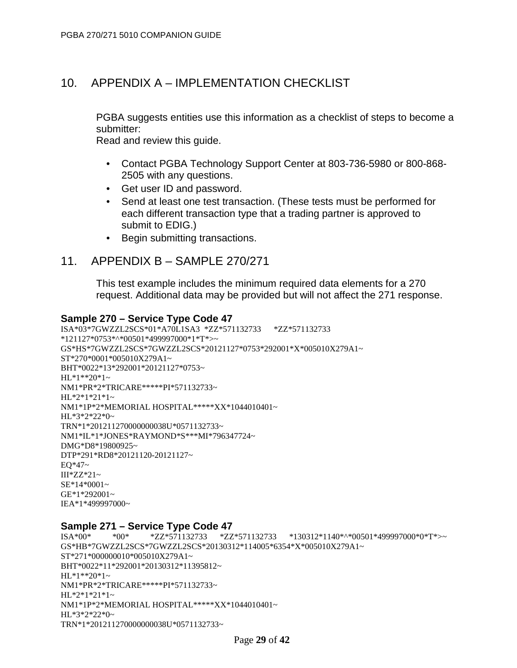# 10. APPENDIX A – IMPLEMENTATION CHECKLIST

PGBA suggests entities use this information as a checklist of steps to become a submitter:

Read and review this guide.

- Contact PGBA Technology Support Center at 803-736-5980 or 800-868- 2505 with any questions.
- Get user ID and password.
- Send at least one test transaction. (These tests must be performed for each different transaction type that a trading partner is approved to submit to EDIG.)
- Begin submitting transactions.

# 11. APPENDIX B – SAMPLE 270/271

This test example includes the minimum required data elements for a 270 request. Additional data may be provided but will not affect the 271 response.

#### **Sample 270 – Service Type Code 47**

```
ISA*03*7GWZZL2SCS*01*A70L1SA3 *ZZ*571132733 *ZZ*571132733 
*121127*0753*^*00501*499997000*1*T*>~
GS*HS*7GWZZL2SCS*7GWZZL2SCS*20121127*0753*292001*X*005010X279A1~
ST*270*0001*005010X279A1~
BHT*0022*13*292001*20121127*0753~
HL*1**20*1~NM1*PR*2*TRICARE*****PI*571132733~
HL*2*1*21*1~
NM1*1P*2*MEMORIAL HOSPITAL*****XX*1044010401~
HL*3*2*22*0~
TRN*1*201211270000000038U*0571132733~
NM1*IL*1*JONES*RAYMOND*S***MI*796347724~
DMG*D8*19800925~
DTP*291*RD8*20121120-20121127~
EO*47~III*ZZ*21~
SE*14*0001~
GE*1*292001~
IEA*1*499997000~
```
#### **Sample 271 – Service Type Code 47**

```
ISA*00* *00* *ZZ*571132733 *ZZ*571132733 *130312*1140*^*00501*499997000*0*T*>~
GS*HB*7GWZZL2SCS*7GWZZL2SCS*20130312*114005*6354*X*005010X279A1~
ST*271*000000010*005010X279A1~
BHT*0022*11*292001*20130312*11395812~
HL*1**20*1~NM1*PR*2*TRICARE*****PI*571132733~
HL*2*1*21*1~
NM1*1P*2*MEMORIAL HOSPITAL*****XX*1044010401~
HL*3*2*22*0~
TRN*1*201211270000000038U*0571132733~
```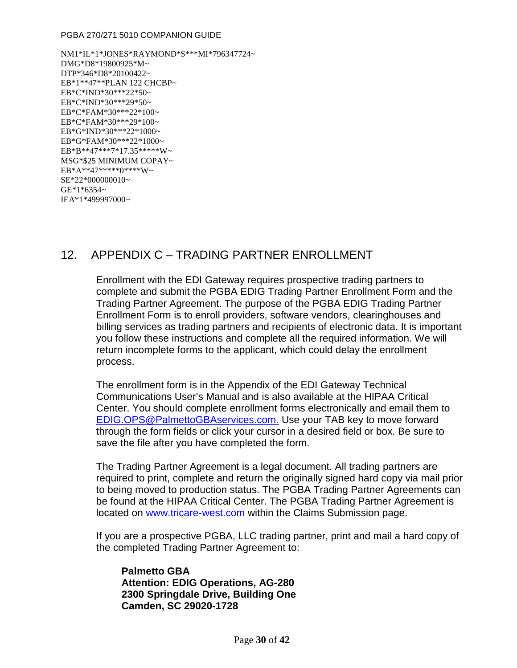#### PGBA 270/271 5010 COMPANION GUIDE

NM1\*IL\*1\*JONES\*RAYMOND\*S\*\*\*MI\*796347724~ DMG\*D8\*19800925\*M~ DTP\*346\*D8\*20100422~ EB\*1\*\*47\*\*PLAN 122 CHCBP~ EB\*C\*IND\*30\*\*\*22\*50~ EB\*C\*IND\*30\*\*\*29\*50~ EB\*C\*FAM\*30\*\*\*22\*100~ EB\*C\*FAM\*30\*\*\*29\*100~ EB\*G\*IND\*30\*\*\*22\*1000~ EB\*G\*FAM\*30\*\*\*22\*1000~ EB\*B\*\*47\*\*\*7\*17.35\*\*\*\*\*W~ MSG\*\$25 MINIMUM COPAY~  $EB*A***47******0****W~$ SE\*22\*000000010~ GE\*1\*6354~ IEA\*1\*499997000~

# 12. APPENDIX C – TRADING PARTNER ENROLLMENT

Enrollment with the EDI Gateway requires prospective trading partners to complete and submit the PGBA EDIG Trading Partner Enrollment Form and the Trading Partner Agreement. The purpose of the PGBA EDIG Trading Partner Enrollment Form is to enroll providers, software vendors, clearinghouses and billing services as trading partners and recipients of electronic data. It is important you follow these instructions and complete all the required information. We will return incomplete forms to the applicant, which could delay the enrollment process.

The enrollment form is in the Appendix of the EDI Gateway Technical Communications User's Manual and is also available at the [HIPAA Critical](http://www.hipaacriticalcenter.com/)  [Center.](http://www.hipaacriticalcenter.com/) You should complete enrollment forms electronically and email them to [EDIG.OPS@PalmettoGBAservices.com.](mailto:EDIG.OPS@PalmettoGBA.com.) Use your TAB key to move forward through the form fields or click your cursor in a desired field or box. Be sure to save the file after you have completed the form.

The Trading Partner Agreement is a legal document. All trading partners are required to print, complete and return the originally signed hard copy via mail prior to being moved to production status. The PGBA Trading Partner Agreements can be found at the [HIPAA Critical Center.](http://www.hipaacriticalcenter.com/) The PGBA Trading Partner Agreement is located on [www.tricare-west.com](https://www.tricare-west.com/) within the Claims Submission page.

If you are a prospective PGBA, LLC trading partner, print and mail a hard copy of the completed Trading Partner Agreement to:

**Palmetto GBA Attention: EDIG Operations, AG-280 2300 Springdale Drive, Building One Camden, SC 29020-1728**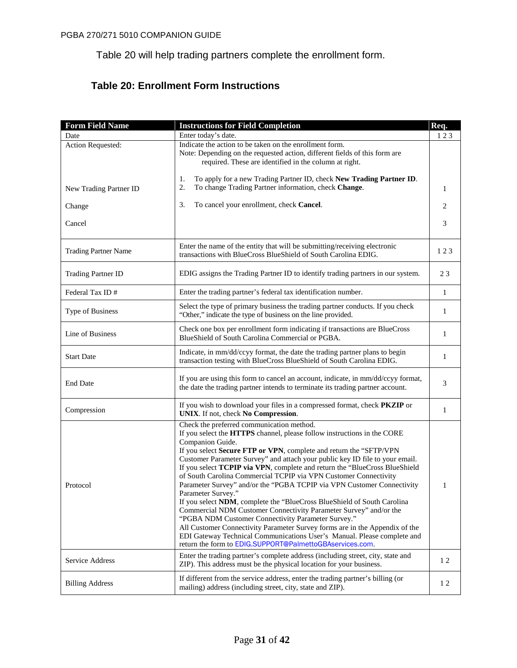Table 20 will help trading partners complete the enrollment form.

# **Table 20: Enrollment Form Instructions**

| <b>Form Field Name</b>      | <b>Instructions for Field Completion</b>                                                                                                                                                                                                                                                                                                                                                                                                                                                                                                                                                                                                                                                                                                                                                                                                                                                                                                                                     | Req.         |
|-----------------------------|------------------------------------------------------------------------------------------------------------------------------------------------------------------------------------------------------------------------------------------------------------------------------------------------------------------------------------------------------------------------------------------------------------------------------------------------------------------------------------------------------------------------------------------------------------------------------------------------------------------------------------------------------------------------------------------------------------------------------------------------------------------------------------------------------------------------------------------------------------------------------------------------------------------------------------------------------------------------------|--------------|
| Date                        | Enter today's date.                                                                                                                                                                                                                                                                                                                                                                                                                                                                                                                                                                                                                                                                                                                                                                                                                                                                                                                                                          | 123          |
| Action Requested:           | Indicate the action to be taken on the enrollment form.<br>Note: Depending on the requested action, different fields of this form are<br>required. These are identified in the column at right.                                                                                                                                                                                                                                                                                                                                                                                                                                                                                                                                                                                                                                                                                                                                                                              |              |
| New Trading Partner ID      | To apply for a new Trading Partner ID, check New Trading Partner ID.<br>1.<br>2.<br>To change Trading Partner information, check Change.                                                                                                                                                                                                                                                                                                                                                                                                                                                                                                                                                                                                                                                                                                                                                                                                                                     | 1            |
| Change                      | To cancel your enrollment, check Cancel.<br>3.                                                                                                                                                                                                                                                                                                                                                                                                                                                                                                                                                                                                                                                                                                                                                                                                                                                                                                                               | 2            |
| Cancel                      |                                                                                                                                                                                                                                                                                                                                                                                                                                                                                                                                                                                                                                                                                                                                                                                                                                                                                                                                                                              | 3            |
| <b>Trading Partner Name</b> | Enter the name of the entity that will be submitting/receiving electronic<br>transactions with BlueCross BlueShield of South Carolina EDIG.                                                                                                                                                                                                                                                                                                                                                                                                                                                                                                                                                                                                                                                                                                                                                                                                                                  | 123          |
| <b>Trading Partner ID</b>   | EDIG assigns the Trading Partner ID to identify trading partners in our system.                                                                                                                                                                                                                                                                                                                                                                                                                                                                                                                                                                                                                                                                                                                                                                                                                                                                                              | 23           |
| Federal Tax ID#             | Enter the trading partner's federal tax identification number.                                                                                                                                                                                                                                                                                                                                                                                                                                                                                                                                                                                                                                                                                                                                                                                                                                                                                                               | $\mathbf{1}$ |
| Type of Business            | Select the type of primary business the trading partner conducts. If you check<br>"Other," indicate the type of business on the line provided.                                                                                                                                                                                                                                                                                                                                                                                                                                                                                                                                                                                                                                                                                                                                                                                                                               | $\mathbf{1}$ |
| Line of Business            | Check one box per enrollment form indicating if transactions are BlueCross<br>BlueShield of South Carolina Commercial or PGBA.                                                                                                                                                                                                                                                                                                                                                                                                                                                                                                                                                                                                                                                                                                                                                                                                                                               | 1            |
| <b>Start Date</b>           | Indicate, in mm/dd/ccyy format, the date the trading partner plans to begin<br>transaction testing with BlueCross BlueShield of South Carolina EDIG.                                                                                                                                                                                                                                                                                                                                                                                                                                                                                                                                                                                                                                                                                                                                                                                                                         | $\mathbf{1}$ |
| <b>End Date</b>             | If you are using this form to cancel an account, indicate, in mm/dd/ccyy format,<br>the date the trading partner intends to terminate its trading partner account.                                                                                                                                                                                                                                                                                                                                                                                                                                                                                                                                                                                                                                                                                                                                                                                                           | 3            |
| Compression                 | If you wish to download your files in a compressed format, check PKZIP or<br>UNIX. If not, check No Compression.                                                                                                                                                                                                                                                                                                                                                                                                                                                                                                                                                                                                                                                                                                                                                                                                                                                             | $\mathbf{1}$ |
| Protocol                    | Check the preferred communication method.<br>If you select the HTTPS channel, please follow instructions in the CORE<br>Companion Guide.<br>If you select Secure FTP or VPN, complete and return the "SFTP/VPN<br>Customer Parameter Survey" and attach your public key ID file to your email.<br>If you select TCPIP via VPN, complete and return the "BlueCross BlueShield<br>of South Carolina Commercial TCPIP via VPN Customer Connectivity<br>Parameter Survey" and/or the "PGBA TCPIP via VPN Customer Connectivity<br>Parameter Survey."<br>If you select NDM, complete the "BlueCross BlueShield of South Carolina<br>Commercial NDM Customer Connectivity Parameter Survey" and/or the<br>"PGBA NDM Customer Connectivity Parameter Survey."<br>All Customer Connectivity Parameter Survey forms are in the Appendix of the<br>EDI Gateway Technical Communications User's Manual. Please complete and<br>return the form to EDIG.SUPPORT@PalmettoGBAservices.com. | 1            |
| Service Address             | Enter the trading partner's complete address (including street, city, state and<br>ZIP). This address must be the physical location for your business.                                                                                                                                                                                                                                                                                                                                                                                                                                                                                                                                                                                                                                                                                                                                                                                                                       | 12           |
| <b>Billing Address</b>      | If different from the service address, enter the trading partner's billing (or<br>mailing) address (including street, city, state and ZIP).                                                                                                                                                                                                                                                                                                                                                                                                                                                                                                                                                                                                                                                                                                                                                                                                                                  | 12           |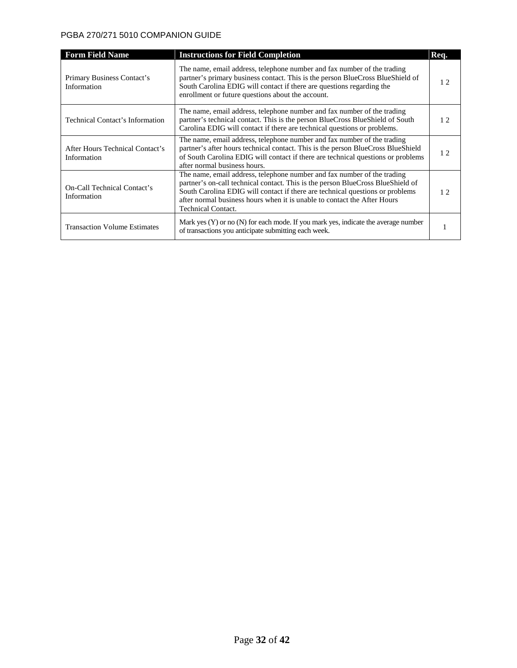#### PGBA 270/271 5010 COMPANION GUIDE

| <b>Form Field Name</b>                         | <b>Instructions for Field Completion</b>                                                                                                                                                                                                                                                                                                             | Req. |
|------------------------------------------------|------------------------------------------------------------------------------------------------------------------------------------------------------------------------------------------------------------------------------------------------------------------------------------------------------------------------------------------------------|------|
| Primary Business Contact's<br>Information      | The name, email address, telephone number and fax number of the trading<br>partner's primary business contact. This is the person BlueCross BlueShield of<br>South Carolina EDIG will contact if there are questions regarding the<br>enrollment or future questions about the account.                                                              | 12   |
| <b>Technical Contact's Information</b>         | The name, email address, telephone number and fax number of the trading<br>partner's technical contact. This is the person BlueCross BlueShield of South<br>Carolina EDIG will contact if there are technical questions or problems.                                                                                                                 | 12.  |
| After Hours Technical Contact's<br>Information | The name, email address, telephone number and fax number of the trading<br>partner's after hours technical contact. This is the person BlueCross BlueShield<br>of South Carolina EDIG will contact if there are technical questions or problems<br>after normal business hours.                                                                      | 12.  |
| On-Call Technical Contact's<br>Information     | The name, email address, telephone number and fax number of the trading<br>partner's on-call technical contact. This is the person BlueCross BlueShield of<br>South Carolina EDIG will contact if there are technical questions or problems<br>after normal business hours when it is unable to contact the After Hours<br><b>Technical Contact.</b> | 12.  |
| <b>Transaction Volume Estimates</b>            | Mark yes $(Y)$ or no $(N)$ for each mode. If you mark yes, indicate the average number<br>of transactions you anticipate submitting each week.                                                                                                                                                                                                       |      |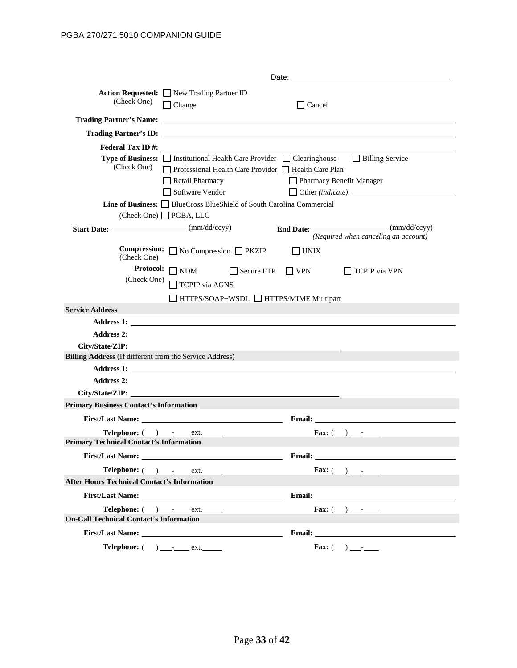| (Check One)                                                                                                                                                                                                                          | Action Requested: New Trading Partner ID<br>$\Box$ Change                                                                                                                                                           |                   | Cancel                   |                                                            |
|--------------------------------------------------------------------------------------------------------------------------------------------------------------------------------------------------------------------------------------|---------------------------------------------------------------------------------------------------------------------------------------------------------------------------------------------------------------------|-------------------|--------------------------|------------------------------------------------------------|
| Trading Partner's Name: <u>and the contract of the contract of the contract of the contract of the contract of the contract of the contract of the contract of the contract of the contract of the contract of the contract of t</u> |                                                                                                                                                                                                                     |                   |                          |                                                            |
|                                                                                                                                                                                                                                      |                                                                                                                                                                                                                     |                   |                          |                                                            |
| (Check One)                                                                                                                                                                                                                          | Federal Tax ID #:<br><b>Type of Business:</b> $\Box$ Institutional Health Care Provider $\Box$ Clearinghouse<br>□ Professional Health Care Provider □ Health Care Plan<br>$\Box$ Retail Pharmacy<br>Software Vendor |                   | Pharmacy Benefit Manager | <b>Billing Service</b><br>Other (indicate):                |
|                                                                                                                                                                                                                                      | <b>Line of Business:</b> BlueCross BlueShield of South Carolina Commercial<br>$(Check One)$ PGBA, LLC                                                                                                               |                   |                          |                                                            |
|                                                                                                                                                                                                                                      |                                                                                                                                                                                                                     |                   |                          | (Required when canceling an account)                       |
| (Check One)                                                                                                                                                                                                                          | <b>Compression:</b> $\Box$ No Compression $\Box$ PKZIP                                                                                                                                                              |                   | $\Box$ UNIX              |                                                            |
| (Check One)                                                                                                                                                                                                                          | Protocol: $\Box$ NDM<br>TCPIP via AGNS<br>□ HTTPS/SOAP+WSDL □ HTTPS/MIME Multipart                                                                                                                                  | $\Box$ Secure FTP | $\Box$ VPN               | $\Box$ TCPIP via VPN                                       |
| <b>Service Address</b>                                                                                                                                                                                                               |                                                                                                                                                                                                                     |                   |                          |                                                            |
|                                                                                                                                                                                                                                      |                                                                                                                                                                                                                     |                   |                          |                                                            |
| <b>Address 2:</b>                                                                                                                                                                                                                    |                                                                                                                                                                                                                     |                   |                          |                                                            |
|                                                                                                                                                                                                                                      | City/State/ZIP: New York 2014                                                                                                                                                                                       |                   |                          |                                                            |
| <b>Billing Address</b> (If different from the Service Address)                                                                                                                                                                       |                                                                                                                                                                                                                     |                   |                          |                                                            |
|                                                                                                                                                                                                                                      |                                                                                                                                                                                                                     |                   |                          |                                                            |
| <b>Address 2:</b>                                                                                                                                                                                                                    |                                                                                                                                                                                                                     |                   |                          |                                                            |
| City/State/ZIP:                                                                                                                                                                                                                      |                                                                                                                                                                                                                     |                   |                          |                                                            |
| <b>Primary Business Contact's Information</b>                                                                                                                                                                                        |                                                                                                                                                                                                                     |                   |                          |                                                            |
|                                                                                                                                                                                                                                      | <b>First/Last Name:</b>                                                                                                                                                                                             |                   |                          |                                                            |
| <b>Primary Technical Contact's Information</b>                                                                                                                                                                                       | $\textbf{Telephone:}$ ( ) ______ ext.                                                                                                                                                                               |                   |                          | Fax: $($ ) -                                               |
|                                                                                                                                                                                                                                      |                                                                                                                                                                                                                     |                   | <b>Email:</b>            |                                                            |
|                                                                                                                                                                                                                                      | <b>Telephone:</b> $($ $)$ $)$ $\infty$ xt.                                                                                                                                                                          |                   |                          | <b>Fax:</b> $\begin{pmatrix} 0 & 1 \\ 0 & 1 \end{pmatrix}$ |
| <b>After Hours Technical Contact's Information</b>                                                                                                                                                                                   |                                                                                                                                                                                                                     |                   |                          |                                                            |
|                                                                                                                                                                                                                                      |                                                                                                                                                                                                                     |                   |                          |                                                            |
|                                                                                                                                                                                                                                      | Telephone: $($ $)$ $  ext.$                                                                                                                                                                                         |                   |                          | Fax: $($ ) -                                               |
| <b>On-Call Technical Contact's Information</b>                                                                                                                                                                                       |                                                                                                                                                                                                                     |                   |                          |                                                            |
|                                                                                                                                                                                                                                      |                                                                                                                                                                                                                     |                   |                          |                                                            |
|                                                                                                                                                                                                                                      | $\textbf{Telephone:}$ ( ) ______ ext.                                                                                                                                                                               |                   |                          | <b>Fax:</b> $\begin{pmatrix} 0 & 1 \\ 0 & 1 \end{pmatrix}$ |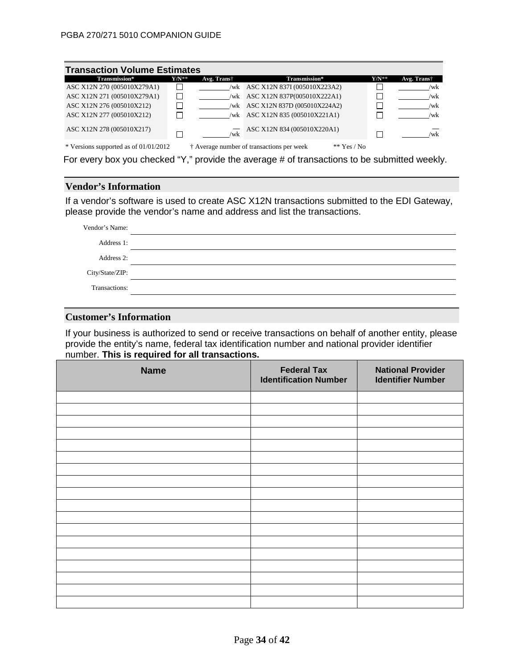| <b>Transaction Volume Estimates</b>     |         |             |                                                            |            |             |  |
|-----------------------------------------|---------|-------------|------------------------------------------------------------|------------|-------------|--|
| Transmission*                           | $Y/N^*$ | Avg. Trans† | Transmission*                                              | $Y/N^{**}$ | Avg. Trans† |  |
| ASC X12N 270 (005010X279A1)             |         | /wk         | ASC X12N 837I (005010X223A2)                               |            | /wk         |  |
| ASC X12N 271 (005010X279A1)             |         | /wk         | ASC X12N 837P(005010X222A1)                                | $\Box$     | /wk         |  |
| ASC X12N 276 (005010X212)               |         | /wk         | ASC X12N 837D (005010X224A2)                               |            | /wk         |  |
| ASC X12N 277 (005010X212)               |         | /wk         | ASC X12N 835 (005010X221A1)                                | Π          | /wk         |  |
| ASC X12N 278 (005010X217)               |         | $\sqrt{w}$  | ASC X12N 834 (005010X220A1)                                | П          | /wk         |  |
| * Versions supported as of $01/01/2012$ |         |             | † Average number of transactions per week<br>** $Yes / No$ |            |             |  |

For every box you checked "Y," provide the average # of transactions to be submitted weekly.

#### **Vendor's Information**

If a vendor's software is used to create ASC X12N transactions submitted to the EDI Gateway, please provide the vendor's name and address and list the transactions.

| Vendor's Name:  |  |
|-----------------|--|
| Address 1:      |  |
| Address 2:      |  |
| City/State/ZIP: |  |
| Transactions:   |  |
|                 |  |

#### **Customer's Information**

If your business is authorized to send or receive transactions on behalf of another entity, please provide the entity's name, federal tax identification number and national provider identifier number. **This is required for all transactions.**

| <b>Name</b> | <b>Federal Tax</b><br><b>Identification Number</b> | <b>National Provider</b><br><b>Identifier Number</b> |
|-------------|----------------------------------------------------|------------------------------------------------------|
|             |                                                    |                                                      |
|             |                                                    |                                                      |
|             |                                                    |                                                      |
|             |                                                    |                                                      |
|             |                                                    |                                                      |
|             |                                                    |                                                      |
|             |                                                    |                                                      |
|             |                                                    |                                                      |
|             |                                                    |                                                      |
|             |                                                    |                                                      |
|             |                                                    |                                                      |
|             |                                                    |                                                      |
|             |                                                    |                                                      |
|             |                                                    |                                                      |
|             |                                                    |                                                      |
|             |                                                    |                                                      |
|             |                                                    |                                                      |
|             |                                                    |                                                      |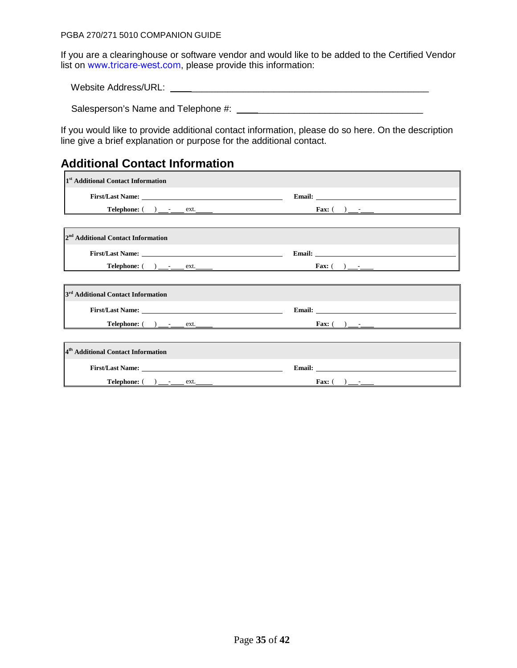#### PGBA 270/271 5010 COMPANION GUIDE

If you are a clearinghouse or software vendor and would like to be added to the Certified Vendor list on [www.tricare-west.com](http://www.tricare-west.com/), please provide this information:

Website Address/URL: \_\_\_\_\_\_\_\_\_\_\_\_\_\_\_\_\_\_\_\_\_\_\_\_\_\_\_\_\_\_\_\_\_\_\_\_\_\_\_\_\_\_\_\_\_\_

Salesperson's Name and Telephone #: \_\_\_\_\_\_\_\_\_\_\_\_\_\_\_\_\_\_\_\_\_\_\_\_\_\_\_\_\_\_\_\_

If you would like to provide additional contact information, please do so here. On the description line give a brief explanation or purpose for the additional contact.

 $\overline{\phantom{0}}$ 

# **Additional Contact Information**

| 1 <sup>st</sup> Additional Contact Information              |                                                                                                                                                                                                                                |
|-------------------------------------------------------------|--------------------------------------------------------------------------------------------------------------------------------------------------------------------------------------------------------------------------------|
|                                                             | Email: The contract of the contract of the contract of the contract of the contract of the contract of the contract of the contract of the contract of the contract of the contract of the contract of the contract of the con |
|                                                             |                                                                                                                                                                                                                                |
|                                                             |                                                                                                                                                                                                                                |
| 2 <sup>nd</sup> Additional Contact Information              |                                                                                                                                                                                                                                |
|                                                             | Email: Email: Email: Email: Email: Email: Email: Email: Email: Email: Email: Email: Email: Email: Email: Email: Email: Email: Email: Email: Email: Email: Email: Email: Email: Email: Email: Email: Email: Email: Email: Email |
| <b>Telephone:</b> ( ) <u>_____</u> ext. _____               |                                                                                                                                                                                                                                |
|                                                             |                                                                                                                                                                                                                                |
| 3 <sup>rd</sup> Additional Contact Information              |                                                                                                                                                                                                                                |
|                                                             | Email: <u>Alexander School (Separate School)</u>                                                                                                                                                                               |
|                                                             |                                                                                                                                                                                                                                |
|                                                             |                                                                                                                                                                                                                                |
| <sup>4th</sup> Additional Contact Information               |                                                                                                                                                                                                                                |
|                                                             |                                                                                                                                                                                                                                |
| $\text{Telephone:} \quad \text{________} \quad \text{ext.}$ |                                                                                                                                                                                                                                |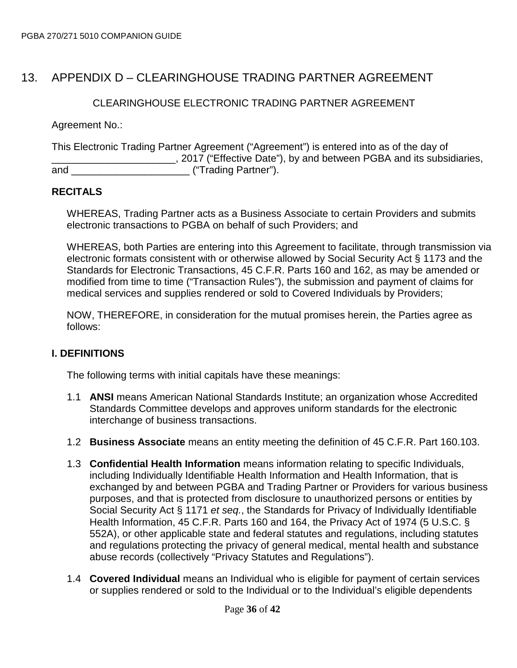# 13. APPENDIX D – CLEARINGHOUSE TRADING PARTNER AGREEMENT

### CLEARINGHOUSE ELECTRONIC TRADING PARTNER AGREEMENT

Agreement No.:

This Electronic Trading Partner Agreement ("Agreement") is entered into as of the day of **EXAMPLE 2017** ("Effective Date"), by and between PGBA and its subsidiaries, and \_\_\_\_\_\_\_\_\_\_\_\_\_\_\_\_\_\_\_\_\_ ("Trading Partner").

# **RECITALS**

WHEREAS, Trading Partner acts as a Business Associate to certain Providers and submits electronic transactions to PGBA on behalf of such Providers; and

WHEREAS, both Parties are entering into this Agreement to facilitate, through transmission via electronic formats consistent with or otherwise allowed by Social Security Act § 1173 and the Standards for Electronic Transactions, 45 C.F.R. Parts 160 and 162, as may be amended or modified from time to time ("Transaction Rules"), the submission and payment of claims for medical services and supplies rendered or sold to Covered Individuals by Providers;

NOW, THEREFORE, in consideration for the mutual promises herein, the Parties agree as follows:

# **I. DEFINITIONS**

The following terms with initial capitals have these meanings:

- 1.1 **ANSI** means American National Standards Institute; an organization whose Accredited Standards Committee develops and approves uniform standards for the electronic interchange of business transactions.
- 1.2 **Business Associate** means an entity meeting the definition of 45 C.F.R. Part 160.103.
- 1.3 **Confidential Health Information** means information relating to specific Individuals, including Individually Identifiable Health Information and Health Information, that is exchanged by and between PGBA and Trading Partner or Providers for various business purposes, and that is protected from disclosure to unauthorized persons or entities by Social Security Act § 1171 *et seq.*, the Standards for Privacy of Individually Identifiable Health Information, 45 C.F.R. Parts 160 and 164, the Privacy Act of 1974 (5 U.S.C. § 552A), or other applicable state and federal statutes and regulations, including statutes and regulations protecting the privacy of general medical, mental health and substance abuse records (collectively "Privacy Statutes and Regulations").
- 1.4 **Covered Individual** means an Individual who is eligible for payment of certain services or supplies rendered or sold to the Individual or to the Individual's eligible dependents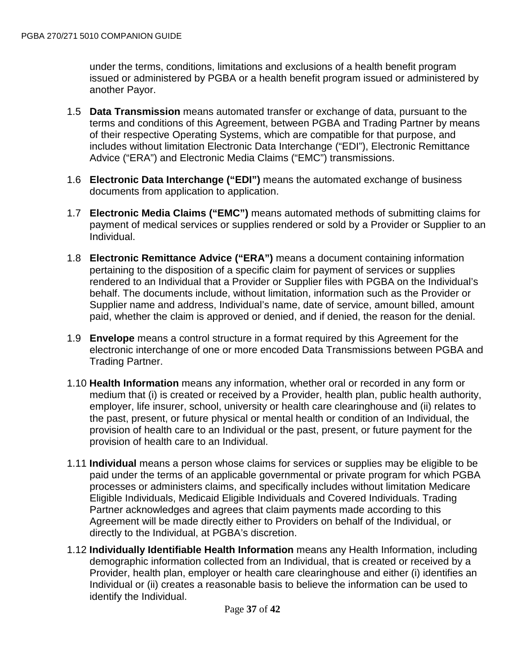under the terms, conditions, limitations and exclusions of a health benefit program issued or administered by PGBA or a health benefit program issued or administered by another Payor.

- 1.5 **Data Transmission** means automated transfer or exchange of data, pursuant to the terms and conditions of this Agreement, between PGBA and Trading Partner by means of their respective Operating Systems, which are compatible for that purpose, and includes without limitation Electronic Data Interchange ("EDI"), Electronic Remittance Advice ("ERA") and Electronic Media Claims ("EMC") transmissions.
- 1.6 **Electronic Data Interchange ("EDI")** means the automated exchange of business documents from application to application.
- 1.7 **Electronic Media Claims ("EMC")** means automated methods of submitting claims for payment of medical services or supplies rendered or sold by a Provider or Supplier to an Individual.
- 1.8 **Electronic Remittance Advice ("ERA")** means a document containing information pertaining to the disposition of a specific claim for payment of services or supplies rendered to an Individual that a Provider or Supplier files with PGBA on the Individual's behalf. The documents include, without limitation, information such as the Provider or Supplier name and address, Individual's name, date of service, amount billed, amount paid, whether the claim is approved or denied, and if denied, the reason for the denial.
- 1.9 **Envelope** means a control structure in a format required by this Agreement for the electronic interchange of one or more encoded Data Transmissions between PGBA and Trading Partner.
- 1.10 **Health Information** means any information, whether oral or recorded in any form or medium that (i) is created or received by a Provider, health plan, public health authority, employer, life insurer, school, university or health care clearinghouse and (ii) relates to the past, present, or future physical or mental health or condition of an Individual, the provision of health care to an Individual or the past, present, or future payment for the provision of health care to an Individual.
- 1.11 **Individual** means a person whose claims for services or supplies may be eligible to be paid under the terms of an applicable governmental or private program for which PGBA processes or administers claims, and specifically includes without limitation Medicare Eligible Individuals, Medicaid Eligible Individuals and Covered Individuals. Trading Partner acknowledges and agrees that claim payments made according to this Agreement will be made directly either to Providers on behalf of the Individual, or directly to the Individual, at PGBA's discretion.
- 1.12 **Individually Identifiable Health Information** means any Health Information, including demographic information collected from an Individual, that is created or received by a Provider, health plan, employer or health care clearinghouse and either (i) identifies an Individual or (ii) creates a reasonable basis to believe the information can be used to identify the Individual.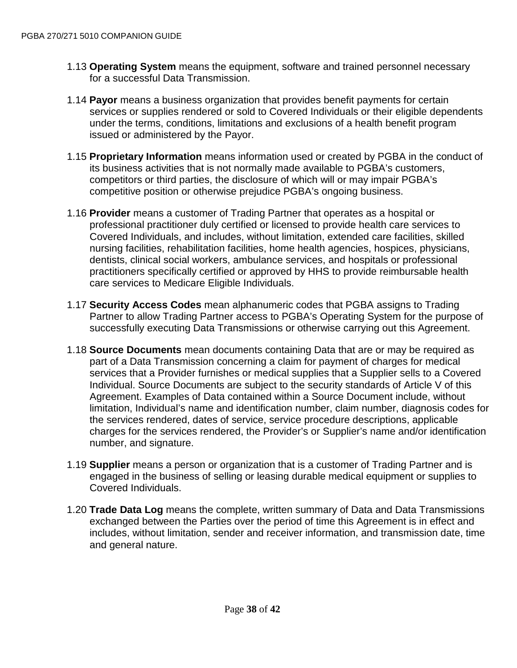- 1.13 **Operating System** means the equipment, software and trained personnel necessary for a successful Data Transmission.
- 1.14 **Payor** means a business organization that provides benefit payments for certain services or supplies rendered or sold to Covered Individuals or their eligible dependents under the terms, conditions, limitations and exclusions of a health benefit program issued or administered by the Payor.
- 1.15 **Proprietary Information** means information used or created by PGBA in the conduct of its business activities that is not normally made available to PGBA's customers, competitors or third parties, the disclosure of which will or may impair PGBA's competitive position or otherwise prejudice PGBA's ongoing business.
- 1.16 **Provider** means a customer of Trading Partner that operates as a hospital or professional practitioner duly certified or licensed to provide health care services to Covered Individuals, and includes, without limitation, extended care facilities, skilled nursing facilities, rehabilitation facilities, home health agencies, hospices, physicians, dentists, clinical social workers, ambulance services, and hospitals or professional practitioners specifically certified or approved by HHS to provide reimbursable health care services to Medicare Eligible Individuals.
- 1.17 **Security Access Codes** mean alphanumeric codes that PGBA assigns to Trading Partner to allow Trading Partner access to PGBA's Operating System for the purpose of successfully executing Data Transmissions or otherwise carrying out this Agreement.
- 1.18 **Source Documents** mean documents containing Data that are or may be required as part of a Data Transmission concerning a claim for payment of charges for medical services that a Provider furnishes or medical supplies that a Supplier sells to a Covered Individual. Source Documents are subject to the security standards of Article V of this Agreement. Examples of Data contained within a Source Document include, without limitation, Individual's name and identification number, claim number, diagnosis codes for the services rendered, dates of service, service procedure descriptions, applicable charges for the services rendered, the Provider's or Supplier's name and/or identification number, and signature.
- 1.19 **Supplier** means a person or organization that is a customer of Trading Partner and is engaged in the business of selling or leasing durable medical equipment or supplies to Covered Individuals.
- 1.20 **Trade Data Log** means the complete, written summary of Data and Data Transmissions exchanged between the Parties over the period of time this Agreement is in effect and includes, without limitation, sender and receiver information, and transmission date, time and general nature.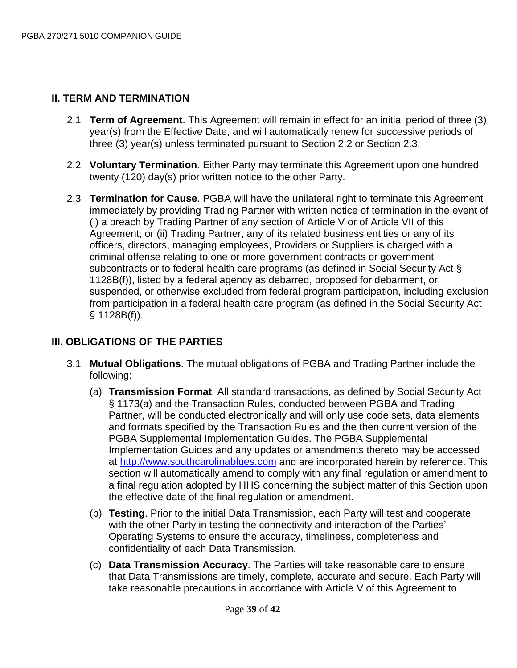# **II. TERM AND TERMINATION**

- 2.1 **Term of Agreement**. This Agreement will remain in effect for an initial period of three (3) year(s) from the Effective Date, and will automatically renew for successive periods of three (3) year(s) unless terminated pursuant to Section 2.2 or Section 2.3.
- 2.2 **Voluntary Termination**. Either Party may terminate this Agreement upon one hundred twenty (120) day(s) prior written notice to the other Party.
- 2.3 **Termination for Cause**. PGBA will have the unilateral right to terminate this Agreement immediately by providing Trading Partner with written notice of termination in the event of (i) a breach by Trading Partner of any section of Article V or of Article VII of this Agreement; or (ii) Trading Partner, any of its related business entities or any of its officers, directors, managing employees, Providers or Suppliers is charged with a criminal offense relating to one or more government contracts or government subcontracts or to federal health care programs (as defined in Social Security Act § 1128B(f)), listed by a federal agency as debarred, proposed for debarment, or suspended, or otherwise excluded from federal program participation, including exclusion from participation in a federal health care program (as defined in the Social Security Act § 1128B(f)).

# **III. OBLIGATIONS OF THE PARTIES**

- 3.1 **Mutual Obligations**. The mutual obligations of PGBA and Trading Partner include the following:
	- (a) **Transmission Format**. All standard transactions, as defined by Social Security Act § 1173(a) and the Transaction Rules, conducted between PGBA and Trading Partner, will be conducted electronically and will only use code sets, data elements and formats specified by the Transaction Rules and the then current version of the PGBA Supplemental Implementation Guides. The PGBA Supplemental Implementation Guides and any updates or amendments thereto may be accessed at [http://www.southcarolinablues.com](http://www.southcarolinablues.com/) and are incorporated herein by reference. This section will automatically amend to comply with any final regulation or amendment to a final regulation adopted by HHS concerning the subject matter of this Section upon the effective date of the final regulation or amendment.
	- (b) **Testing**. Prior to the initial Data Transmission, each Party will test and cooperate with the other Party in testing the connectivity and interaction of the Parties' Operating Systems to ensure the accuracy, timeliness, completeness and confidentiality of each Data Transmission.
	- (c) **Data Transmission Accuracy**. The Parties will take reasonable care to ensure that Data Transmissions are timely, complete, accurate and secure. Each Party will take reasonable precautions in accordance with Article V of this Agreement to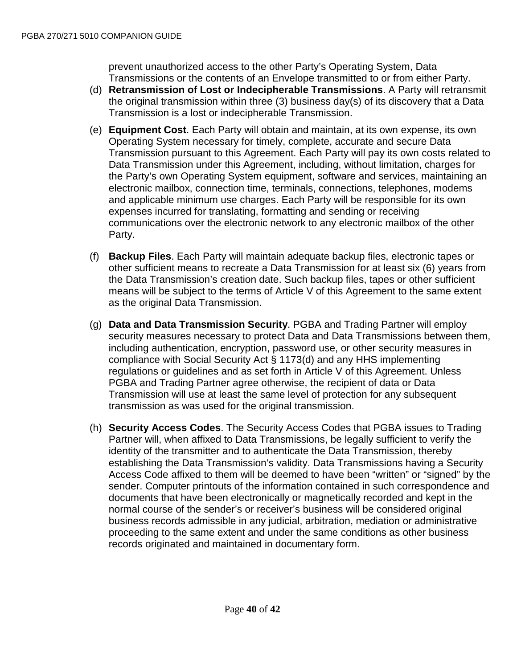prevent unauthorized access to the other Party's Operating System, Data Transmissions or the contents of an Envelope transmitted to or from either Party.

- (d) **Retransmission of Lost or Indecipherable Transmissions**. A Party will retransmit the original transmission within three (3) business day(s) of its discovery that a Data Transmission is a lost or indecipherable Transmission.
- (e) **Equipment Cost**. Each Party will obtain and maintain, at its own expense, its own Operating System necessary for timely, complete, accurate and secure Data Transmission pursuant to this Agreement. Each Party will pay its own costs related to Data Transmission under this Agreement, including, without limitation, charges for the Party's own Operating System equipment, software and services, maintaining an electronic mailbox, connection time, terminals, connections, telephones, modems and applicable minimum use charges. Each Party will be responsible for its own expenses incurred for translating, formatting and sending or receiving communications over the electronic network to any electronic mailbox of the other Party.
- (f) **Backup Files**. Each Party will maintain adequate backup files, electronic tapes or other sufficient means to recreate a Data Transmission for at least six (6) years from the Data Transmission's creation date. Such backup files, tapes or other sufficient means will be subject to the terms of Article V of this Agreement to the same extent as the original Data Transmission.
- (g) **Data and Data Transmission Security**. PGBA and Trading Partner will employ security measures necessary to protect Data and Data Transmissions between them, including authentication, encryption, password use, or other security measures in compliance with Social Security Act § 1173(d) and any HHS implementing regulations or guidelines and as set forth in Article V of this Agreement. Unless PGBA and Trading Partner agree otherwise, the recipient of data or Data Transmission will use at least the same level of protection for any subsequent transmission as was used for the original transmission.
- (h) **Security Access Codes**. The Security Access Codes that PGBA issues to Trading Partner will, when affixed to Data Transmissions, be legally sufficient to verify the identity of the transmitter and to authenticate the Data Transmission, thereby establishing the Data Transmission's validity. Data Transmissions having a Security Access Code affixed to them will be deemed to have been "written" or "signed" by the sender. Computer printouts of the information contained in such correspondence and documents that have been electronically or magnetically recorded and kept in the normal course of the sender's or receiver's business will be considered original business records admissible in any judicial, arbitration, mediation or administrative proceeding to the same extent and under the same conditions as other business records originated and maintained in documentary form.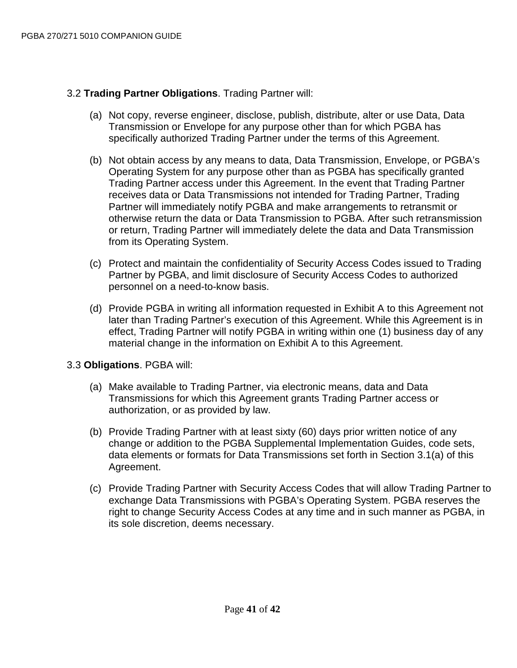# 3.2 **Trading Partner Obligations**. Trading Partner will:

- (a) Not copy, reverse engineer, disclose, publish, distribute, alter or use Data, Data Transmission or Envelope for any purpose other than for which PGBA has specifically authorized Trading Partner under the terms of this Agreement.
- (b) Not obtain access by any means to data, Data Transmission, Envelope, or PGBA's Operating System for any purpose other than as PGBA has specifically granted Trading Partner access under this Agreement. In the event that Trading Partner receives data or Data Transmissions not intended for Trading Partner, Trading Partner will immediately notify PGBA and make arrangements to retransmit or otherwise return the data or Data Transmission to PGBA. After such retransmission or return, Trading Partner will immediately delete the data and Data Transmission from its Operating System.
- (c) Protect and maintain the confidentiality of Security Access Codes issued to Trading Partner by PGBA, and limit disclosure of Security Access Codes to authorized personnel on a need-to-know basis.
- (d) Provide PGBA in writing all information requested in Exhibit A to this Agreement not later than Trading Partner's execution of this Agreement. While this Agreement is in effect, Trading Partner will notify PGBA in writing within one (1) business day of any material change in the information on Exhibit A to this Agreement.

# 3.3 **Obligations**. PGBA will:

- (a) Make available to Trading Partner, via electronic means, data and Data Transmissions for which this Agreement grants Trading Partner access or authorization, or as provided by law.
- (b) Provide Trading Partner with at least sixty (60) days prior written notice of any change or addition to the PGBA Supplemental Implementation Guides, code sets, data elements or formats for Data Transmissions set forth in Section 3.1(a) of this Agreement.
- (c) Provide Trading Partner with Security Access Codes that will allow Trading Partner to exchange Data Transmissions with PGBA's Operating System. PGBA reserves the right to change Security Access Codes at any time and in such manner as PGBA, in its sole discretion, deems necessary.